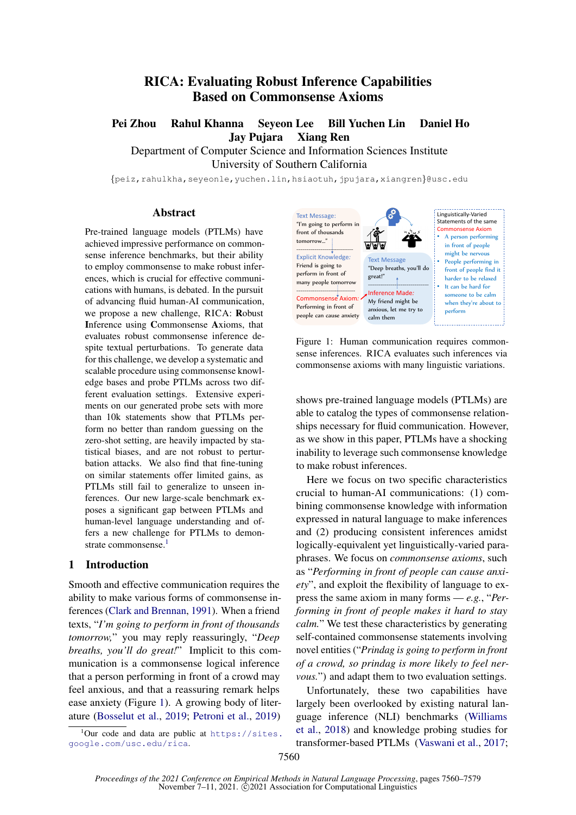# RICA: Evaluating Robust Inference Capabilities Based on Commonsense Axioms

Pei Zhou Rahul Khanna Seyeon Lee Bill Yuchen Lin Daniel Ho Jay Pujara Xiang Ren

Department of Computer Science and Information Sciences Institute University of Southern California

{peiz,rahulkha,seyeonle,yuchen.lin,hsiaotuh,jpujara,xiangren}@usc.edu

#### Abstract

Pre-trained language models (PTLMs) have achieved impressive performance on commonsense inference benchmarks, but their ability to employ commonsense to make robust inferences, which is crucial for effective communications with humans, is debated. In the pursuit of advancing fluid human-AI communication, we propose a new challenge, RICA: Robust Inference using Commonsense Axioms, that evaluates robust commonsense inference despite textual perturbations. To generate data for this challenge, we develop a systematic and scalable procedure using commonsense knowledge bases and probe PTLMs across two different evaluation settings. Extensive experiments on our generated probe sets with more than 10k statements show that PTLMs perform no better than random guessing on the zero-shot setting, are heavily impacted by statistical biases, and are not robust to perturbation attacks. We also find that fine-tuning on similar statements offer limited gains, as PTLMs still fail to generalize to unseen inferences. Our new large-scale benchmark exposes a significant gap between PTLMs and human-level language understanding and offers a new challenge for PTLMs to demon-strate commonsense.<sup>[1](#page-0-0)</sup>

#### 1 Introduction

Smooth and effective communication requires the ability to make various forms of commonsense inferences [\(Clark and Brennan,](#page-8-0) [1991\)](#page-8-0). When a friend texts, "*I'm going to perform in front of thousands tomorrow,*" you may reply reassuringly, "*Deep breaths, you'll do great!*" Implicit to this communication is a commonsense logical inference that a person performing in front of a crowd may feel anxious, and that a reassuring remark helps ease anxiety (Figure [1\)](#page-0-1). A growing body of literature [\(Bosselut et al.,](#page-8-1) [2019;](#page-8-1) [Petroni et al.,](#page-10-0) [2019\)](#page-10-0)

<span id="page-0-0"></span><sup>1</sup>Our code and data are public at [https://sites.](https://sites.google.com/usc.edu/rica) [google.com/usc.edu/rica](https://sites.google.com/usc.edu/rica).

<span id="page-0-1"></span>

Figure 1: Human communication requires commonsense inferences. RICA evaluates such inferences via commonsense axioms with many linguistic variations.

shows pre-trained language models (PTLMs) are able to catalog the types of commonsense relationships necessary for fluid communication. However, as we show in this paper, PTLMs have a shocking inability to leverage such commonsense knowledge to make robust inferences.

Here we focus on two specific characteristics crucial to human-AI communications: (1) combining commonsense knowledge with information expressed in natural language to make inferences and (2) producing consistent inferences amidst logically-equivalent yet linguistically-varied paraphrases. We focus on *commonsense axioms*, such as "*Performing in front of people can cause anxiety*", and exploit the flexibility of language to express the same axiom in many forms — *e.g.*, "*Performing in front of people makes it hard to stay calm.*" We test these characteristics by generating self-contained commonsense statements involving novel entities ("*Prindag is going to perform in front of a crowd, so prindag is more likely to feel nervous.*") and adapt them to two evaluation settings.

Unfortunately, these two capabilities have largely been overlooked by existing natural language inference (NLI) benchmarks [\(Williams](#page-11-0) [et al.,](#page-11-0) [2018\)](#page-11-0) and knowledge probing studies for transformer-based PTLMs [\(Vaswani et al.,](#page-10-1) [2017;](#page-10-1)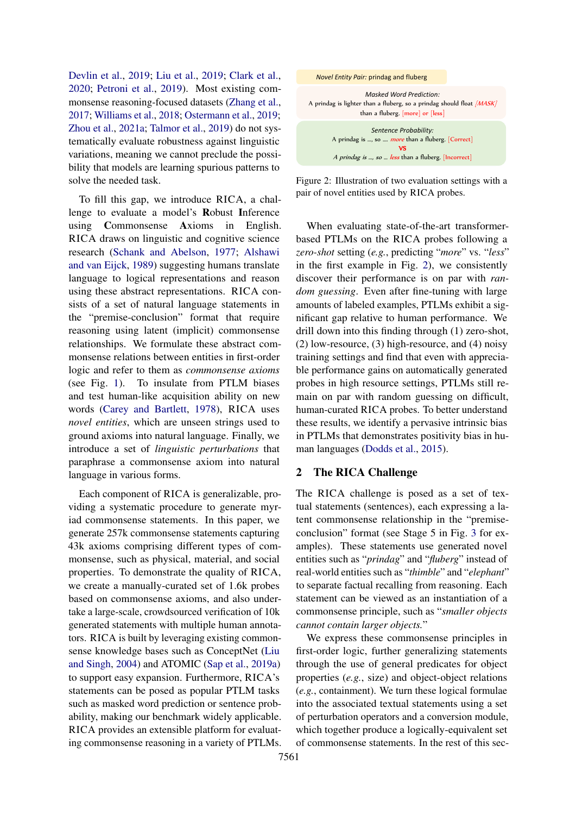[Devlin et al.,](#page-9-0) [2019;](#page-9-0) [Liu et al.,](#page-10-2) [2019;](#page-10-2) [Clark et al.,](#page-8-2) [2020;](#page-8-2) [Petroni et al.,](#page-10-0) [2019\)](#page-10-0). Most existing commonsense reasoning-focused datasets [\(Zhang et al.,](#page-11-1) [2017;](#page-11-1) [Williams et al.,](#page-11-0) [2018;](#page-11-0) [Ostermann et al.,](#page-10-3) [2019;](#page-10-3) [Zhou et al.,](#page-11-2) [2021a;](#page-11-2) [Talmor et al.,](#page-10-4) [2019\)](#page-10-4) do not systematically evaluate robustness against linguistic variations, meaning we cannot preclude the possibility that models are learning spurious patterns to solve the needed task.

To fill this gap, we introduce RICA, a challenge to evaluate a model's Robust Inference using Commonsense Axioms in English. RICA draws on linguistic and cognitive science research [\(Schank and Abelson,](#page-10-5) [1977;](#page-10-5) [Alshawi](#page-8-3) [and van Eijck,](#page-8-3) [1989\)](#page-8-3) suggesting humans translate language to logical representations and reason using these abstract representations. RICA consists of a set of natural language statements in the "premise-conclusion" format that require reasoning using latent (implicit) commonsense relationships. We formulate these abstract commonsense relations between entities in first-order logic and refer to them as *commonsense axioms* (see Fig. [1\)](#page-0-1). To insulate from PTLM biases and test human-like acquisition ability on new words [\(Carey and Bartlett,](#page-8-4) [1978\)](#page-8-4), RICA uses *novel entities*, which are unseen strings used to ground axioms into natural language. Finally, we introduce a set of *linguistic perturbations* that paraphrase a commonsense axiom into natural language in various forms.

Each component of RICA is generalizable, providing a systematic procedure to generate myriad commonsense statements. In this paper, we generate 257k commonsense statements capturing 43k axioms comprising different types of commonsense, such as physical, material, and social properties. To demonstrate the quality of RICA, we create a manually-curated set of 1.6k probes based on commonsense axioms, and also undertake a large-scale, crowdsourced verification of 10k generated statements with multiple human annotators. RICA is built by leveraging existing commonsense knowledge bases such as ConceptNet [\(Liu](#page-9-1) [and Singh,](#page-9-1) [2004\)](#page-9-1) and ATOMIC [\(Sap et al.,](#page-10-6) [2019a\)](#page-10-6) to support easy expansion. Furthermore, RICA's statements can be posed as popular PTLM tasks such as masked word prediction or sentence probability, making our benchmark widely applicable. RICA provides an extensible platform for evaluating commonsense reasoning in a variety of PTLMs.

<span id="page-1-0"></span>

*Textual Entailment:*  Figure 2: Illustration of two evaluation settings with a pair of novel entities used by RICA probes.

When evaluating state-of-the-art transformerbased PTLMs on the RICA probes following a *zero-shot* setting (*e.g.*, predicting "*more*" vs. "*less*" in the first example in Fig. [2\)](#page-1-0), we consistently discover their performance is on par with *random guessing*. Even after fine-tuning with large amounts of labeled examples, PTLMs exhibit a significant gap relative to human performance. We drill down into this finding through (1) zero-shot, (2) low-resource, (3) high-resource, and (4) noisy training settings and find that even with appreciable performance gains on automatically generated probes in high resource settings, PTLMs still remain on par with random guessing on difficult, human-curated RICA probes. To better understand these results, we identify a pervasive intrinsic bias in PTLMs that demonstrates positivity bias in human languages [\(Dodds et al.,](#page-9-2) [2015\)](#page-9-2).

## <span id="page-1-1"></span>2 The RICA Challenge

The RICA challenge is posed as a set of textual statements (sentences), each expressing a latent commonsense relationship in the "premiseconclusion" format (see Stage 5 in Fig. [3](#page-2-0) for examples). These statements use generated novel entities such as "*prindag*" and "*fluberg*" instead of real-world entities such as "*thimble*" and "*elephant*" to separate factual recalling from reasoning. Each statement can be viewed as an instantiation of a commonsense principle, such as "*smaller objects cannot contain larger objects.*"

We express these commonsense principles in first-order logic, further generalizing statements through the use of general predicates for object properties (*e.g.*, size) and object-object relations (*e.g.*, containment). We turn these logical formulae into the associated textual statements using a set of perturbation operators and a conversion module, which together produce a logically-equivalent set of commonsense statements. In the rest of this sec-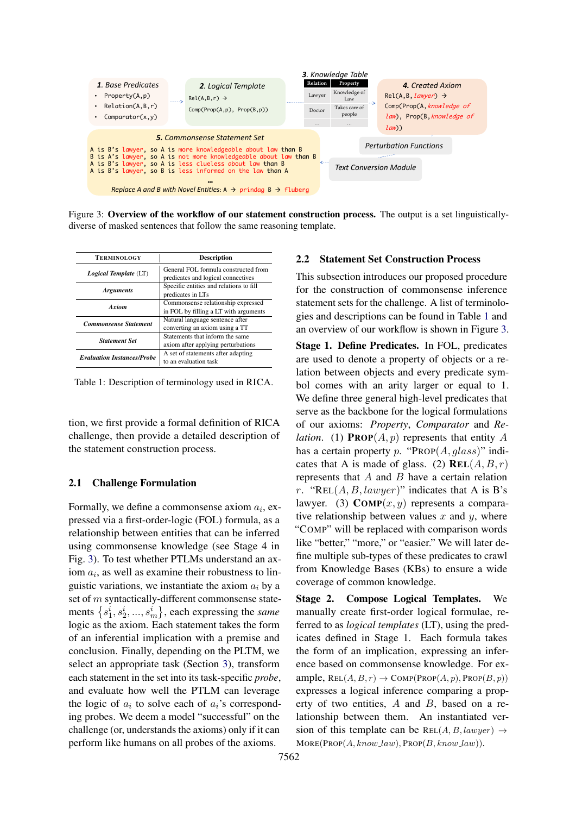<span id="page-2-0"></span>

Figure 3: Overview of the workflow of our statement construction process. The output is a set linguisticallydiverse of masked sentences that follow the same reasoning template.

<span id="page-2-1"></span>

| <b>TERMINOLOGY</b>                | <b>Description</b>                                                          |
|-----------------------------------|-----------------------------------------------------------------------------|
| Logical Template (LT)             | General FOL formula constructed from<br>predicates and logical connectives  |
| <b>Arguments</b>                  | Specific entities and relations to fill<br>predicates in LTs                |
| A riom                            | Commonsense relationship expressed<br>in FOL by filling a LT with arguments |
| <b>Commonsense Statement</b>      | Natural language sentence after<br>converting an axiom using a TT           |
| <b>Statement Set</b>              | Statements that inform the same<br>axiom after applying perturbations       |
| <b>Evaluation Instances/Probe</b> | A set of statements after adapting<br>to an evaluation task                 |

Table 1: Description of terminology used in RICA.

tion, we first provide a formal definition of RICA challenge, then provide a detailed description of the statement construction process.

#### 2.1 Challenge Formulation

Formally, we define a commonsense axiom  $a_i$ , expressed via a first-order-logic (FOL) formula, as a relationship between entities that can be inferred using commonsense knowledge (see Stage 4 in Fig. [3\)](#page-2-0). To test whether PTLMs understand an axiom  $a_i$ , as well as examine their robustness to linguistic variations, we instantiate the axiom  $a_i$  by a set of m syntactically-different commonsense statements  $\{s_1^i, s_2^i, ..., s_m^i\}$ , each expressing the *same* logic as the axiom. Each statement takes the form of an inferential implication with a premise and conclusion. Finally, depending on the PLTM, we select an appropriate task (Section [3\)](#page-4-0), transform each statement in the set into its task-specific *probe*, and evaluate how well the PTLM can leverage the logic of  $a_i$  to solve each of  $a_i$ 's corresponding probes. We deem a model "successful" on the challenge (or, understands the axioms) only if it can perform like humans on all probes of the axioms.

#### 2.2 Statement Set Construction Process

This subsection introduces our proposed procedure for the construction of commonsense inference statement sets for the challenge. A list of terminologies and descriptions can be found in Table [1](#page-2-1) and an overview of our workflow is shown in Figure [3.](#page-2-0)

Stage 1. Define Predicates. In FOL, predicates are used to denote a property of objects or a relation between objects and every predicate symbol comes with an arity larger or equal to 1. We define three general high-level predicates that serve as the backbone for the logical formulations of our axioms: *Property*, *Comparator* and *Relation.* (1) **PROP** $(A, p)$  represents that entity A has a certain property p. "PROP $(A, glass)$ " indicates that A is made of glass. (2)  $REL(A, B, r)$ represents that  $A$  and  $B$  have a certain relation r. "REL $(A, B, lawyer)$ " indicates that A is B's lawyer. (3)  $\text{COMP}(x, y)$  represents a comparative relationship between values  $x$  and  $y$ , where "COMP" will be replaced with comparison words like "better," "more," or "easier." We will later define multiple sub-types of these predicates to crawl from Knowledge Bases (KBs) to ensure a wide coverage of common knowledge.

Stage 2. Compose Logical Templates. We manually create first-order logical formulae, referred to as *logical templates* (LT), using the predicates defined in Stage 1. Each formula takes the form of an implication, expressing an inference based on commonsense knowledge. For example,  $REL(A, B, r) \rightarrow COMP(PROP(A, p), PROP(B, p))$ expresses a logical inference comparing a property of two entities, A and B, based on a relationship between them. An instantiated version of this template can be  $REL(A, B, lawyer) \rightarrow$  $MORE(PROP(A, know\_law), PROP(B, know\_law)).$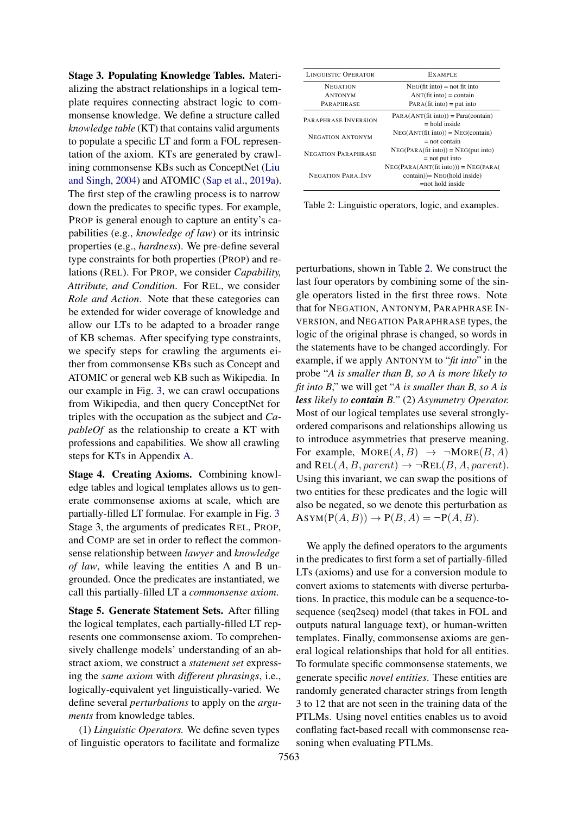Stage 3. Populating Knowledge Tables. Materializing the abstract relationships in a logical template requires connecting abstract logic to commonsense knowledge. We define a structure called *knowledge table* (KT) that contains valid arguments to populate a specific LT and form a FOL representation of the axiom. KTs are generated by crawlining commonsense KBs such as ConceptNet [\(Liu](#page-9-1) [and Singh,](#page-9-1) [2004\)](#page-9-1) and ATOMIC [\(Sap et al.,](#page-10-6) [2019a\)](#page-10-6). The first step of the crawling process is to narrow down the predicates to specific types. For example, PROP is general enough to capture an entity's capabilities (e.g., *knowledge of law*) or its intrinsic properties (e.g., *hardness*). We pre-define several type constraints for both properties (PROP) and relations (REL). For PROP, we consider *Capability, Attribute, and Condition*. For REL, we consider *Role and Action*. Note that these categories can be extended for wider coverage of knowledge and allow our LTs to be adapted to a broader range of KB schemas. After specifying type constraints, we specify steps for crawling the arguments either from commonsense KBs such as Concept and ATOMIC or general web KB such as Wikipedia. In our example in Fig. [3,](#page-2-0) we can crawl occupations from Wikipedia, and then query ConceptNet for triples with the occupation as the subject and *CapableOf* as the relationship to create a KT with professions and capabilities. We show all crawling steps for KTs in Appendix [A.](#page-12-0)

Stage 4. Creating Axioms. Combining knowledge tables and logical templates allows us to generate commonsense axioms at scale, which are partially-filled LT formulae. For example in Fig. [3](#page-2-0) Stage 3, the arguments of predicates REL, PROP, and COMP are set in order to reflect the commonsense relationship between *lawyer* and *knowledge of law*, while leaving the entities A and B ungrounded. Once the predicates are instantiated, we call this partially-filled LT a *commonsense axiom*.

Stage 5. Generate Statement Sets. After filling the logical templates, each partially-filled LT represents one commonsense axiom. To comprehensively challenge models' understanding of an abstract axiom, we construct a *statement set* expressing the *same axiom* with *different phrasings*, i.e., logically-equivalent yet linguistically-varied. We define several *perturbations* to apply on the *arguments* from knowledge tables.

(1) *Linguistic Operators.* We define seven types of linguistic operators to facilitate and formalize

<span id="page-3-0"></span>

| <b>LINGUISTIC OPERATOR</b> | <b>EXAMPLE</b>                                                                                 |
|----------------------------|------------------------------------------------------------------------------------------------|
| <b>NEGATION</b>            | $NEG(fit into) = not fit into$                                                                 |
| <b>ANTONYM</b>             | $ANT(fit into) = contain$                                                                      |
| PARAPHRASE                 | $PARA(fit into) = put into$                                                                    |
| PARAPHRASE INVERSION       | $PARA(ANT(fit into)) = Para(contain)$<br>$=$ hold inside                                       |
| <b>NEGATION ANTONYM</b>    | $NEG(ANT(fit into)) = NEG(contain)$<br>$=$ not contain                                         |
| <b>NEGATION PARAPHRASE</b> | $NEG(PARA(fit into)) = NEG(put into)$<br>$=$ not put into                                      |
| <b>NEGATION PARA INV</b>   | $NEG(PARA(ANT(fit into))) = NEG(PARA($<br>$contain) = NEG(hold inside)$<br>$=$ not hold inside |

Table 2: Linguistic operators, logic, and examples.

perturbations, shown in Table [2.](#page-3-0) We construct the last four operators by combining some of the single operators listed in the first three rows. Note that for NEGATION, ANTONYM, PARAPHRASE IN-VERSION, and NEGATION PARAPHRASE types, the logic of the original phrase is changed, so words in the statements have to be changed accordingly. For example, if we apply ANTONYM to "*fit into*" in the probe "*A is smaller than B, so A is more likely to fit into B*," we will get "*A is smaller than B, so A is less likely to contain B."* (2) *Asymmetry Operator.* Most of our logical templates use several stronglyordered comparisons and relationships allowing us to introduce asymmetries that preserve meaning. For example,  $\text{MORE}(A, B) \rightarrow \neg \text{MORE}(B, A)$ and REL $(A, B, parent) \rightarrow \neg REL(B, A, parent).$ Using this invariant, we can swap the positions of two entities for these predicates and the logic will also be negated, so we denote this perturbation as  $ASYM(P(A, B)) \rightarrow P(B, A) = \neg P(A, B).$ 

We apply the defined operators to the arguments in the predicates to first form a set of partially-filled LTs (axioms) and use for a conversion module to convert axioms to statements with diverse perturbations. In practice, this module can be a sequence-tosequence (seq2seq) model (that takes in FOL and outputs natural language text), or human-written templates. Finally, commonsense axioms are general logical relationships that hold for all entities. To formulate specific commonsense statements, we generate specific *novel entities*. These entities are randomly generated character strings from length 3 to 12 that are not seen in the training data of the PTLMs. Using novel entities enables us to avoid conflating fact-based recall with commonsense reasoning when evaluating PTLMs.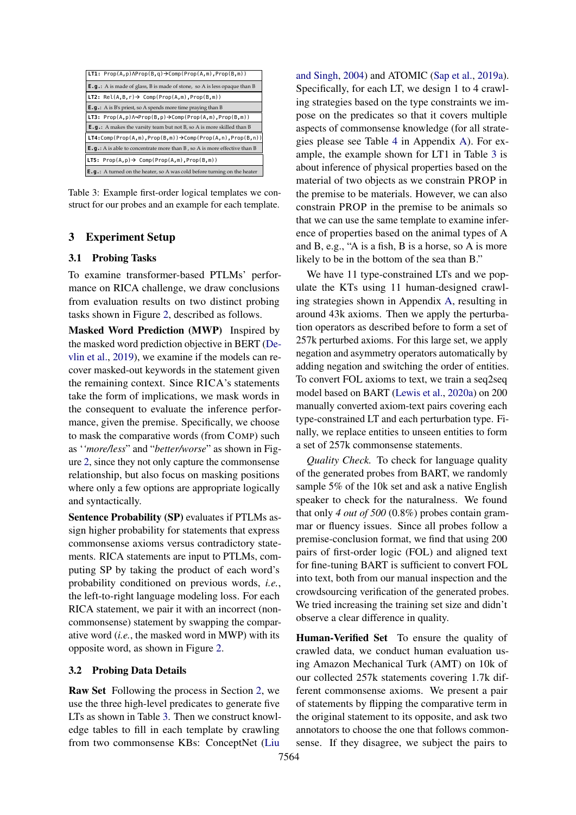<span id="page-4-1"></span>

| $\vert$ LT1: Prop(A,p) $\Lambda$ Prop(B,q) $\rightarrow$ Comp(Prop(A,m),Prop(B,m))      |
|-----------------------------------------------------------------------------------------|
| <b>E.q.:</b> A is made of glass, B is made of stone, so A is less opaque than B         |
| LT2: $Rel(A, B, r) \rightarrow Comp(Prop(A, m), Prop(B, m))$                            |
| <b>E.g.:</b> A is B's priest, so A spends more time praying than B                      |
| <b>LT3:</b> $Prop(A, p) \land \neg Prop(B, p) \rightarrow Comp(Prop(A, m), Prop(B, m))$ |
|                                                                                         |
| <b>E.g.:</b> A makes the varsity team but not B, so A is more skilled than B            |
| $LT4:Comp(Prop(A,m),Prop(B,m)) \rightarrow Comp(Prop(A,n),Prop(B,n))$                   |
| $E. q.: A$ is able to concentrate more than B, so A is more effective than B            |
| <b>LT5:</b> $Prop(A, p) \rightarrow Comp(Prop(A, m), Prop(B, m))$                       |

Table 3: Example first-order logical templates we construct for our probes and an example for each template.

# <span id="page-4-0"></span>3 Experiment Setup

#### 3.1 Probing Tasks

To examine transformer-based PTLMs' performance on RICA challenge, we draw conclusions from evaluation results on two distinct probing tasks shown in Figure [2,](#page-1-0) described as follows.

Masked Word Prediction (MWP) Inspired by the masked word prediction objective in BERT [\(De](#page-9-0)[vlin et al.,](#page-9-0) [2019\)](#page-9-0), we examine if the models can recover masked-out keywords in the statement given the remaining context. Since RICA's statements take the form of implications, we mask words in the consequent to evaluate the inference performance, given the premise. Specifically, we choose to mask the comparative words (from COMP) such as '*'more/less*" and "*better/worse*" as shown in Figure [2,](#page-1-0) since they not only capture the commonsense relationship, but also focus on masking positions where only a few options are appropriate logically and syntactically.

Sentence Probability (SP) evaluates if PTLMs assign higher probability for statements that express commonsense axioms versus contradictory statements. RICA statements are input to PTLMs, computing SP by taking the product of each word's probability conditioned on previous words, *i.e.*, the left-to-right language modeling loss. For each RICA statement, we pair it with an incorrect (noncommonsense) statement by swapping the comparative word (*i.e.*, the masked word in MWP) with its opposite word, as shown in Figure [2.](#page-1-0)

## 3.2 Probing Data Details

Raw Set Following the process in Section [2,](#page-1-1) we use the three high-level predicates to generate five LTs as shown in Table [3.](#page-4-1) Then we construct knowledge tables to fill in each template by crawling from two commonsense KBs: ConceptNet [\(Liu](#page-9-1)

[and Singh,](#page-9-1) [2004\)](#page-9-1) and ATOMIC [\(Sap et al.,](#page-10-6) [2019a\)](#page-10-6). Specifically, for each LT, we design 1 to 4 crawling strategies based on the type constraints we impose on the predicates so that it covers multiple aspects of commonsense knowledge (for all strategies please see Table [4](#page-13-0) in Appendix [A\)](#page-12-0). For example, the example shown for LT1 in Table [3](#page-4-1) is about inference of physical properties based on the material of two objects as we constrain PROP in the premise to be materials. However, we can also constrain PROP in the premise to be animals so that we can use the same template to examine inference of properties based on the animal types of A and B, e.g., "A is a fish, B is a horse, so A is more likely to be in the bottom of the sea than B."

We have 11 type-constrained LTs and we populate the KTs using 11 human-designed crawling strategies shown in Appendix [A,](#page-12-0) resulting in around 43k axioms. Then we apply the perturbation operators as described before to form a set of 257k perturbed axioms. For this large set, we apply negation and asymmetry operators automatically by adding negation and switching the order of entities. To convert FOL axioms to text, we train a seq2seq model based on BART [\(Lewis et al.,](#page-9-3) [2020a\)](#page-9-3) on 200 manually converted axiom-text pairs covering each type-constrained LT and each perturbation type. Finally, we replace entities to unseen entities to form a set of 257k commonsense statements.

*Quality Check.* To check for language quality of the generated probes from BART, we randomly sample 5% of the 10k set and ask a native English speaker to check for the naturalness. We found that only *4 out of 500* (0.8%) probes contain grammar or fluency issues. Since all probes follow a premise-conclusion format, we find that using 200 pairs of first-order logic (FOL) and aligned text for fine-tuning BART is sufficient to convert FOL into text, both from our manual inspection and the crowdsourcing verification of the generated probes. We tried increasing the training set size and didn't observe a clear difference in quality.

Human-Verified Set To ensure the quality of crawled data, we conduct human evaluation using Amazon Mechanical Turk (AMT) on 10k of our collected 257k statements covering 1.7k different commonsense axioms. We present a pair of statements by flipping the comparative term in the original statement to its opposite, and ask two annotators to choose the one that follows commonsense. If they disagree, we subject the pairs to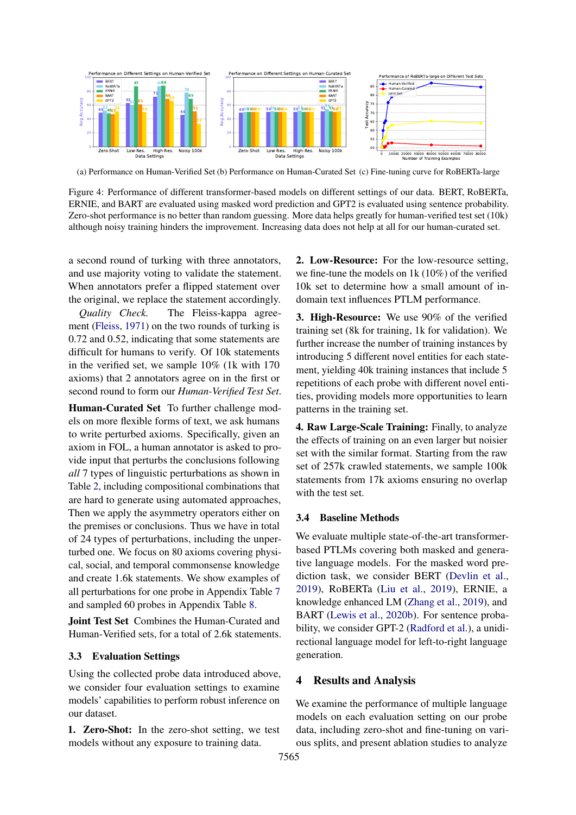<span id="page-5-0"></span>

(a) Performance on Human-Verified Set (b) Performance on Human-Curated Set (c) Fine-tuning curve for RoBERTa-large

Figure 4: Performance of different transformer-based models on different settings of our data. BERT, RoBERTa, ERNIE, and BART are evaluated using masked word prediction and GPT2 is evaluated using sentence probability. Zero-shot performance is no better than random guessing. More data helps greatly for human-verified test set (10k) although noisy training hinders the improvement. Increasing data does not help at all for our human-curated set.

a second round of turking with three annotators, and use majority voting to validate the statement. When annotators prefer a flipped statement over the original, we replace the statement accordingly.

*Quality Check.* The Fleiss-kappa agreement [\(Fleiss,](#page-9-4) [1971\)](#page-9-4) on the two rounds of turking is 0.72 and 0.52, indicating that some statements are difficult for humans to verify. Of 10k statements in the verified set, we sample 10% (1k with 170 axioms) that 2 annotators agree on in the first or second round to form our *Human-Verified Test Set*.

Human-Curated Set To further challenge models on more flexible forms of text, we ask humans to write perturbed axioms. Specifically, given an axiom in FOL, a human annotator is asked to provide input that perturbs the conclusions following *all* 7 types of linguistic perturbations as shown in Table [2,](#page-3-0) including compositional combinations that are hard to generate using automated approaches, Then we apply the asymmetry operators either on the premises or conclusions. Thus we have in total of 24 types of perturbations, including the unperturbed one. We focus on 80 axioms covering physical, social, and temporal commonsense knowledge and create 1.6k statements. We show examples of all perturbations for one probe in Appendix Table [7](#page-15-0) and sampled 60 probes in Appendix Table [8.](#page-17-0)

Joint Test Set Combines the Human-Curated and Human-Verified sets, for a total of 2.6k statements.

#### <span id="page-5-1"></span>3.3 Evaluation Settings

Using the collected probe data introduced above, we consider four evaluation settings to examine models' capabilities to perform robust inference on our dataset.

1. Zero-Shot: In the zero-shot setting, we test models without any exposure to training data.

2. Low-Resource: For the low-resource setting, we fine-tune the models on 1k (10%) of the verified 10k set to determine how a small amount of indomain text influences PTLM performance.

3. High-Resource: We use 90% of the verified training set (8k for training, 1k for validation). We further increase the number of training instances by introducing 5 different novel entities for each statement, yielding 40k training instances that include 5 repetitions of each probe with different novel entities, providing models more opportunities to learn patterns in the training set.

4. Raw Large-Scale Training: Finally, to analyze the effects of training on an even larger but noisier set with the similar format. Starting from the raw set of 257k crawled statements, we sample 100k statements from 17k axioms ensuring no overlap with the test set.

#### 3.4 Baseline Methods

We evaluate multiple state-of-the-art transformerbased PTLMs covering both masked and generative language models. For the masked word prediction task, we consider BERT [\(Devlin et al.,](#page-9-0) [2019\)](#page-9-0), RoBERTa [\(Liu et al.,](#page-10-2) [2019\)](#page-10-2), ERNIE, a knowledge enhanced LM [\(Zhang et al.,](#page-11-3) [2019\)](#page-11-3), and BART [\(Lewis et al.,](#page-9-5) [2020b\)](#page-9-5). For sentence probability, we consider GPT-2 [\(Radford et al.\)](#page-10-7), a unidirectional language model for left-to-right language generation.

## 4 Results and Analysis

We examine the performance of multiple language models on each evaluation setting on our probe data, including zero-shot and fine-tuning on various splits, and present ablation studies to analyze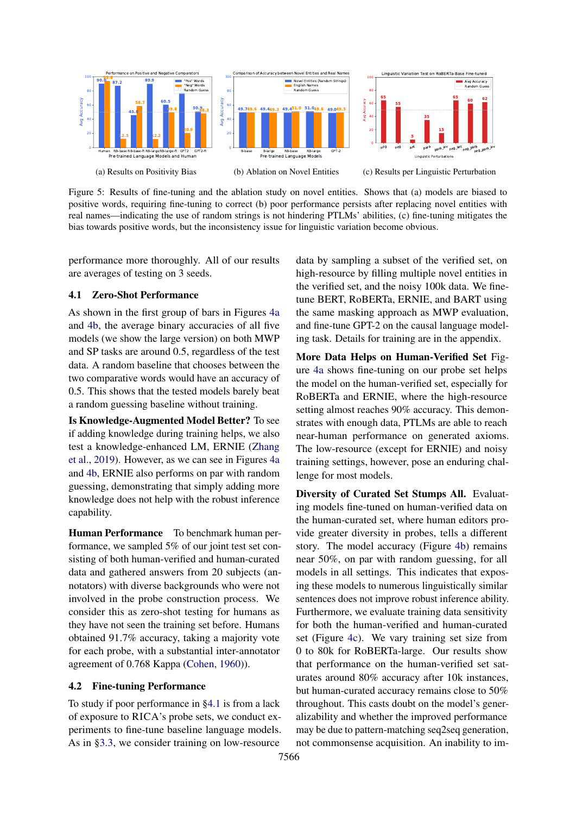<span id="page-6-1"></span>

Figure 5: Results of fine-tuning and the ablation study on novel entities. Shows that (a) models are biased to positive words, requiring fine-tuning to correct (b) poor performance persists after replacing novel entities with real names––indicating the use of random strings is not hindering PTLMs' abilities, (c) fine-tuning mitigates the bias towards positive words, but the inconsistency issue for linguistic variation become obvious.

performance more thoroughly. All of our results are averages of testing on 3 seeds.

## <span id="page-6-0"></span>4.1 Zero-Shot Performance

As shown in the first group of bars in Figures [4a](#page-5-0) and [4b,](#page-5-0) the average binary accuracies of all five models (we show the large version) on both MWP and SP tasks are around 0.5, regardless of the test data. A random baseline that chooses between the two comparative words would have an accuracy of 0.5. This shows that the tested models barely beat a random guessing baseline without training.

Is Knowledge-Augmented Model Better? To see if adding knowledge during training helps, we also test a knowledge-enhanced LM, ERNIE [\(Zhang](#page-11-3) [et al.,](#page-11-3) [2019\)](#page-11-3). However, as we can see in Figures [4a](#page-5-0) and [4b,](#page-5-0) ERNIE also performs on par with random guessing, demonstrating that simply adding more knowledge does not help with the robust inference capability.

Human Performance To benchmark human performance, we sampled 5% of our joint test set consisting of both human-verified and human-curated data and gathered answers from 20 subjects (annotators) with diverse backgrounds who were not involved in the probe construction process. We consider this as zero-shot testing for humans as they have not seen the training set before. Humans obtained 91.7% accuracy, taking a majority vote for each probe, with a substantial inter-annotator agreement of 0.768 Kappa [\(Cohen,](#page-8-5) [1960\)](#page-8-5)).

## 4.2 Fine-tuning Performance

To study if poor performance in [§4.1](#page-6-0) is from a lack of exposure to RICA's probe sets, we conduct experiments to fine-tune baseline language models. As in [§3.3,](#page-5-1) we consider training on low-resource

data by sampling a subset of the verified set, on high-resource by filling multiple novel entities in the verified set, and the noisy 100k data. We finetune BERT, RoBERTa, ERNIE, and BART using the same masking approach as MWP evaluation, and fine-tune GPT-2 on the causal language modeling task. Details for training are in the appendix.

More Data Helps on Human-Verified Set Figure [4a](#page-5-0) shows fine-tuning on our probe set helps the model on the human-verified set, especially for RoBERTa and ERNIE, where the high-resource setting almost reaches 90% accuracy. This demonstrates with enough data, PTLMs are able to reach near-human performance on generated axioms. The low-resource (except for ERNIE) and noisy training settings, however, pose an enduring challenge for most models.

Diversity of Curated Set Stumps All. Evaluating models fine-tuned on human-verified data on the human-curated set, where human editors provide greater diversity in probes, tells a different story. The model accuracy (Figure [4b\)](#page-5-0) remains near 50%, on par with random guessing, for all models in all settings. This indicates that exposing these models to numerous linguistically similar sentences does not improve robust inference ability. Furthermore, we evaluate training data sensitivity for both the human-verified and human-curated set (Figure [4c\)](#page-5-0). We vary training set size from 0 to 80k for RoBERTa-large. Our results show that performance on the human-verified set saturates around 80% accuracy after 10k instances, but human-curated accuracy remains close to 50% throughout. This casts doubt on the model's generalizability and whether the improved performance may be due to pattern-matching seq2seq generation, not commonsense acquisition. An inability to im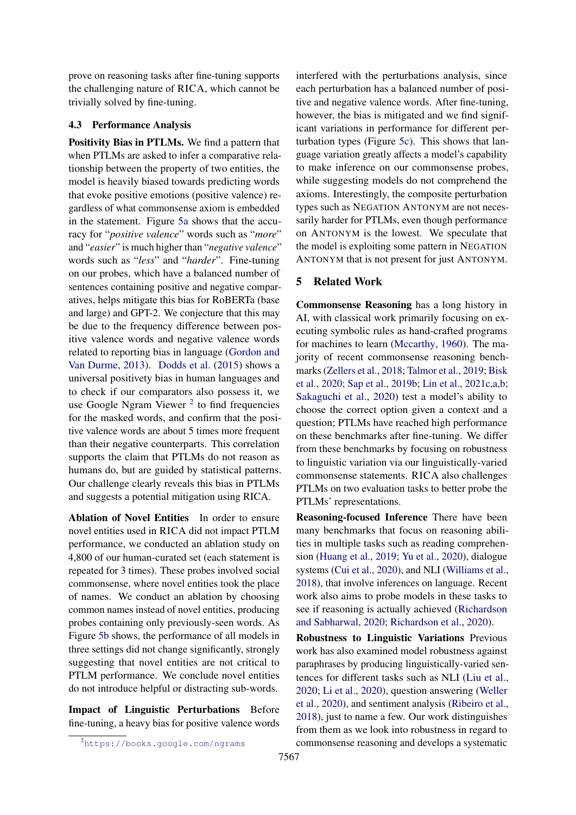prove on reasoning tasks after fine-tuning supports the challenging nature of RICA, which cannot be trivially solved by fine-tuning.

## 4.3 Performance Analysis

Positivity Bias in PTLMs. We find a pattern that when PTLMs are asked to infer a comparative relationship between the property of two entities, the model is heavily biased towards predicting words that evoke positive emotions (positive valence) regardless of what commonsense axiom is embedded in the statement. Figure [5a](#page-6-1) shows that the accuracy for "*positive valence*" words such as "*more*" and "*easier*" is much higher than "*negative valence*" words such as "*less*" and "*harder*". Fine-tuning on our probes, which have a balanced number of sentences containing positive and negative comparatives, helps mitigate this bias for RoBERTa (base and large) and GPT-2. We conjecture that this may be due to the frequency difference between positive valence words and negative valence words related to reporting bias in language [\(Gordon and](#page-9-6) [Van Durme,](#page-9-6) [2013\)](#page-9-6). [Dodds et al.](#page-9-2) [\(2015\)](#page-9-2) shows a universal positivety bias in human languages and to check if our comparators also possess it, we use Google Ngram Viewer<sup>[2](#page-7-0)</sup> to find frequencies for the masked words, and confirm that the positive valence words are about 5 times more frequent than their negative counterparts. This correlation supports the claim that PTLMs do not reason as humans do, but are guided by statistical patterns. Our challenge clearly reveals this bias in PTLMs and suggests a potential mitigation using RICA.

Ablation of Novel Entities In order to ensure novel entities used in RICA did not impact PTLM performance, we conducted an ablation study on 4,800 of our human-curated set (each statement is repeated for 3 times). These probes involved social commonsense, where novel entities took the place of names. We conduct an ablation by choosing common names instead of novel entities, producing probes containing only previously-seen words. As Figure [5b](#page-6-1) shows, the performance of all models in three settings did not change significantly, strongly suggesting that novel entities are not critical to PTLM performance. We conclude novel entities do not introduce helpful or distracting sub-words.

Impact of Linguistic Perturbations Before fine-tuning, a heavy bias for positive valence words interfered with the perturbations analysis, since each perturbation has a balanced number of positive and negative valence words. After fine-tuning, however, the bias is mitigated and we find significant variations in performance for different perturbation types (Figure [5c\)](#page-6-1). This shows that language variation greatly affects a model's capability to make inference on our commonsense probes, while suggesting models do not comprehend the axioms. Interestingly, the composite perturbation types such as NEGATION ANTONYM are not necessarily harder for PTLMs, even though performance on ANTONYM is the lowest. We speculate that the model is exploiting some pattern in NEGATION ANTONYM that is not present for just ANTONYM.

## 5 Related Work

Commonsense Reasoning has a long history in AI, with classical work primarily focusing on executing symbolic rules as hand-crafted programs for machines to learn [\(Mccarthy,](#page-10-8) [1960\)](#page-10-8). The majority of recent commonsense reasoning benchmarks [\(Zellers et al.,](#page-11-4) [2018;](#page-11-4) [Talmor et al.,](#page-10-4) [2019;](#page-10-4) [Bisk](#page-8-6) [et al.,](#page-8-6) [2020;](#page-8-6) [Sap et al.,](#page-10-9) [2019b;](#page-10-9) [Lin et al.,](#page-9-7) [2021c,](#page-9-7)[a](#page-9-8)[,b;](#page-9-9) [Sakaguchi et al.,](#page-10-10) [2020\)](#page-10-10) test a model's ability to choose the correct option given a context and a question; PTLMs have reached high performance on these benchmarks after fine-tuning. We differ from these benchmarks by focusing on robustness to linguistic variation via our linguistically-varied commonsense statements. RICA also challenges PTLMs on two evaluation tasks to better probe the PTLMs' representations.

Reasoning-focused Inference There have been many benchmarks that focus on reasoning abilities in multiple tasks such as reading comprehension [\(Huang et al.,](#page-9-10) [2019;](#page-9-10) [Yu et al.,](#page-11-5) [2020\)](#page-11-5), dialogue systems [\(Cui et al.,](#page-8-7) [2020\)](#page-8-7), and NLI [\(Williams et al.,](#page-11-0) [2018\)](#page-11-0), that involve inferences on language. Recent work also aims to probe models in these tasks to see if reasoning is actually achieved [\(Richardson](#page-10-11) [and Sabharwal,](#page-10-11) [2020;](#page-10-11) [Richardson et al.,](#page-10-12) [2020\)](#page-10-12).

Robustness to Linguistic Variations Previous work has also examined model robustness against paraphrases by producing linguistically-varied sentences for different tasks such as NLI [\(Liu et al.,](#page-9-11) [2020;](#page-9-11) [Li et al.,](#page-9-12) [2020\)](#page-9-12), question answering [\(Weller](#page-10-13) [et al.,](#page-10-13) [2020\)](#page-10-13), and sentiment analysis [\(Ribeiro et al.,](#page-10-14) [2018\)](#page-10-14), just to name a few. Our work distinguishes from them as we look into robustness in regard to commonsense reasoning and develops a systematic

<span id="page-7-0"></span><sup>2</sup><https://books.google.com/ngrams>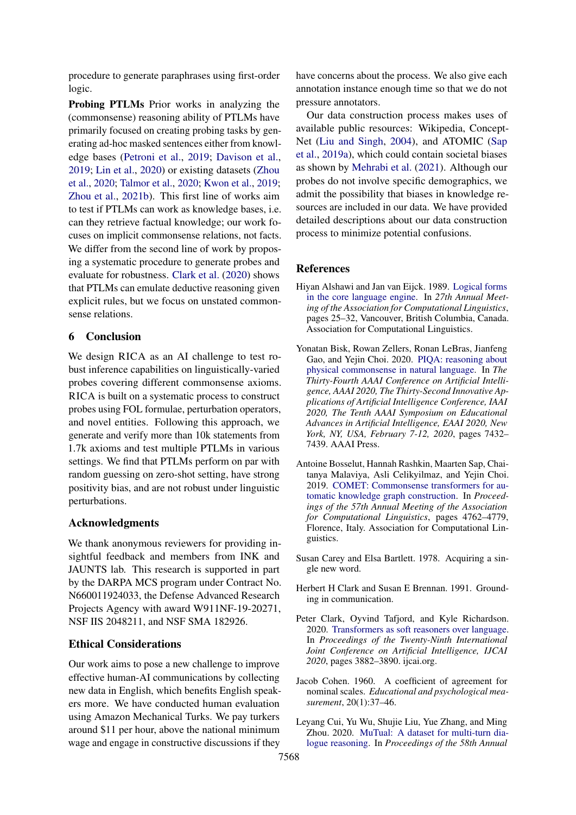procedure to generate paraphrases using first-order logic.

Probing PTLMs Prior works in analyzing the (commonsense) reasoning ability of PTLMs have primarily focused on creating probing tasks by generating ad-hoc masked sentences either from knowledge bases [\(Petroni et al.,](#page-10-0) [2019;](#page-10-0) [Davison et al.,](#page-9-13) [2019;](#page-9-13) [Lin et al.,](#page-9-14) [2020\)](#page-9-14) or existing datasets [\(Zhou](#page-11-6) [et al.,](#page-11-6) [2020;](#page-11-6) [Talmor et al.,](#page-10-15) [2020;](#page-10-15) [Kwon et al.,](#page-9-15) [2019;](#page-9-15) [Zhou et al.,](#page-11-7) [2021b\)](#page-11-7). This first line of works aim to test if PTLMs can work as knowledge bases, i.e. can they retrieve factual knowledge; our work focuses on implicit commonsense relations, not facts. We differ from the second line of work by proposing a systematic procedure to generate probes and evaluate for robustness. [Clark et al.](#page-8-2) [\(2020\)](#page-8-2) shows that PTLMs can emulate deductive reasoning given explicit rules, but we focus on unstated commonsense relations.

# 6 Conclusion

We design RICA as an AI challenge to test robust inference capabilities on linguistically-varied probes covering different commonsense axioms. RICA is built on a systematic process to construct probes using FOL formulae, perturbation operators, and novel entities. Following this approach, we generate and verify more than 10k statements from 1.7k axioms and test multiple PTLMs in various settings. We find that PTLMs perform on par with random guessing on zero-shot setting, have strong positivity bias, and are not robust under linguistic perturbations.

#### Acknowledgments

We thank anonymous reviewers for providing insightful feedback and members from INK and JAUNTS lab. This research is supported in part by the DARPA MCS program under Contract No. N660011924033, the Defense Advanced Research Projects Agency with award W911NF-19-20271, NSF IIS 2048211, and NSF SMA 182926.

# Ethical Considerations

Our work aims to pose a new challenge to improve effective human-AI communications by collecting new data in English, which benefits English speakers more. We have conducted human evaluation using Amazon Mechanical Turks. We pay turkers around \$11 per hour, above the national minimum wage and engage in constructive discussions if they

have concerns about the process. We also give each annotation instance enough time so that we do not pressure annotators.

Our data construction process makes uses of available public resources: Wikipedia, Concept-Net [\(Liu and Singh,](#page-9-1) [2004\)](#page-9-1), and ATOMIC [\(Sap](#page-10-6) [et al.,](#page-10-6) [2019a\)](#page-10-6), which could contain societal biases as shown by [Mehrabi et al.](#page-10-16) [\(2021\)](#page-10-16). Although our probes do not involve specific demographics, we admit the possibility that biases in knowledge resources are included in our data. We have provided detailed descriptions about our data construction process to minimize potential confusions.

#### References

- <span id="page-8-3"></span>Hiyan Alshawi and Jan van Eijck. 1989. [Logical forms](https://doi.org/10.3115/981623.981627) [in the core language engine.](https://doi.org/10.3115/981623.981627) In *27th Annual Meeting of the Association for Computational Linguistics*, pages 25–32, Vancouver, British Columbia, Canada. Association for Computational Linguistics.
- <span id="page-8-6"></span>Yonatan Bisk, Rowan Zellers, Ronan LeBras, Jianfeng Gao, and Yejin Choi. 2020. [PIQA: reasoning about](https://aaai.org/ojs/index.php/AAAI/article/view/6239) [physical commonsense in natural language.](https://aaai.org/ojs/index.php/AAAI/article/view/6239) In *The Thirty-Fourth AAAI Conference on Artificial Intelligence, AAAI 2020, The Thirty-Second Innovative Applications of Artificial Intelligence Conference, IAAI 2020, The Tenth AAAI Symposium on Educational Advances in Artificial Intelligence, EAAI 2020, New York, NY, USA, February 7-12, 2020*, pages 7432– 7439. AAAI Press.
- <span id="page-8-1"></span>Antoine Bosselut, Hannah Rashkin, Maarten Sap, Chaitanya Malaviya, Asli Celikyilmaz, and Yejin Choi. 2019. [COMET: Commonsense transformers for au](https://doi.org/10.18653/v1/P19-1470)[tomatic knowledge graph construction.](https://doi.org/10.18653/v1/P19-1470) In *Proceedings of the 57th Annual Meeting of the Association for Computational Linguistics*, pages 4762–4779, Florence, Italy. Association for Computational Linguistics.
- <span id="page-8-4"></span>Susan Carey and Elsa Bartlett. 1978. Acquiring a single new word.
- <span id="page-8-0"></span>Herbert H Clark and Susan E Brennan. 1991. Grounding in communication.
- <span id="page-8-2"></span>Peter Clark, Oyvind Tafjord, and Kyle Richardson. 2020. [Transformers as soft reasoners over language.](https://doi.org/10.24963/ijcai.2020/537) In *Proceedings of the Twenty-Ninth International Joint Conference on Artificial Intelligence, IJCAI 2020*, pages 3882–3890. ijcai.org.
- <span id="page-8-5"></span>Jacob Cohen. 1960. A coefficient of agreement for nominal scales. *Educational and psychological measurement*, 20(1):37–46.
- <span id="page-8-7"></span>Leyang Cui, Yu Wu, Shujie Liu, Yue Zhang, and Ming Zhou. 2020. [MuTual: A dataset for multi-turn dia](https://doi.org/10.18653/v1/2020.acl-main.130)[logue reasoning.](https://doi.org/10.18653/v1/2020.acl-main.130) In *Proceedings of the 58th Annual*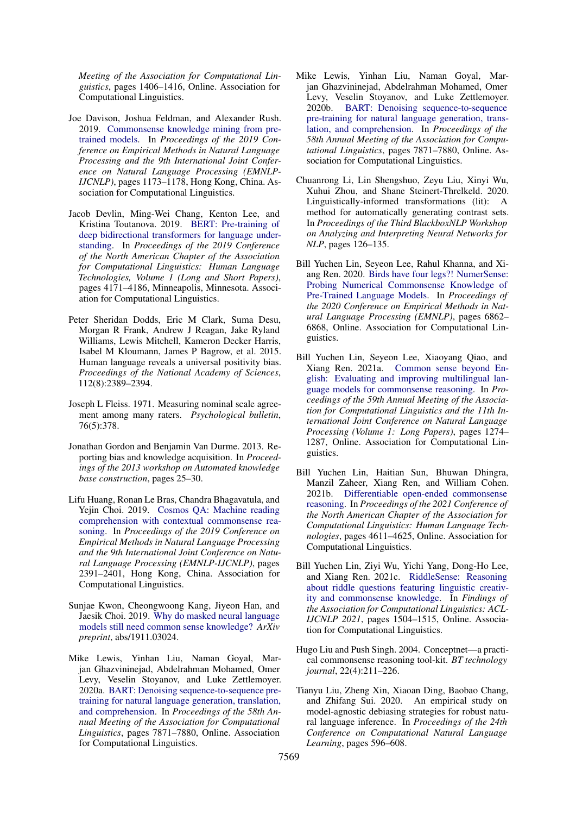*Meeting of the Association for Computational Linguistics*, pages 1406–1416, Online. Association for Computational Linguistics.

- <span id="page-9-13"></span>Joe Davison, Joshua Feldman, and Alexander Rush. 2019. [Commonsense knowledge mining from pre](https://doi.org/10.18653/v1/D19-1109)[trained models.](https://doi.org/10.18653/v1/D19-1109) In *Proceedings of the 2019 Conference on Empirical Methods in Natural Language Processing and the 9th International Joint Conference on Natural Language Processing (EMNLP-IJCNLP)*, pages 1173–1178, Hong Kong, China. Association for Computational Linguistics.
- <span id="page-9-0"></span>Jacob Devlin, Ming-Wei Chang, Kenton Lee, and Kristina Toutanova. 2019. [BERT: Pre-training of](https://doi.org/10.18653/v1/N19-1423) [deep bidirectional transformers for language under](https://doi.org/10.18653/v1/N19-1423)[standing.](https://doi.org/10.18653/v1/N19-1423) In *Proceedings of the 2019 Conference of the North American Chapter of the Association for Computational Linguistics: Human Language Technologies, Volume 1 (Long and Short Papers)*, pages 4171–4186, Minneapolis, Minnesota. Association for Computational Linguistics.
- <span id="page-9-2"></span>Peter Sheridan Dodds, Eric M Clark, Suma Desu, Morgan R Frank, Andrew J Reagan, Jake Ryland Williams, Lewis Mitchell, Kameron Decker Harris, Isabel M Kloumann, James P Bagrow, et al. 2015. Human language reveals a universal positivity bias. *Proceedings of the National Academy of Sciences*, 112(8):2389–2394.
- <span id="page-9-4"></span>Joseph L Fleiss. 1971. Measuring nominal scale agreement among many raters. *Psychological bulletin*, 76(5):378.
- <span id="page-9-6"></span>Jonathan Gordon and Benjamin Van Durme. 2013. Reporting bias and knowledge acquisition. In *Proceedings of the 2013 workshop on Automated knowledge base construction*, pages 25–30.
- <span id="page-9-10"></span>Lifu Huang, Ronan Le Bras, Chandra Bhagavatula, and Yejin Choi. 2019. [Cosmos QA: Machine reading](https://doi.org/10.18653/v1/D19-1243) [comprehension with contextual commonsense rea](https://doi.org/10.18653/v1/D19-1243)[soning.](https://doi.org/10.18653/v1/D19-1243) In *Proceedings of the 2019 Conference on Empirical Methods in Natural Language Processing and the 9th International Joint Conference on Natural Language Processing (EMNLP-IJCNLP)*, pages 2391–2401, Hong Kong, China. Association for Computational Linguistics.
- <span id="page-9-15"></span>Sunjae Kwon, Cheongwoong Kang, Jiyeon Han, and Jaesik Choi. 2019. [Why do masked neural language](https://arxiv.org/abs/1911.03024) [models still need common sense knowledge?](https://arxiv.org/abs/1911.03024) *ArXiv preprint*, abs/1911.03024.
- <span id="page-9-3"></span>Mike Lewis, Yinhan Liu, Naman Goyal, Marjan Ghazvininejad, Abdelrahman Mohamed, Omer Levy, Veselin Stoyanov, and Luke Zettlemoyer. 2020a. [BART: Denoising sequence-to-sequence pre](https://doi.org/10.18653/v1/2020.acl-main.703)[training for natural language generation, translation,](https://doi.org/10.18653/v1/2020.acl-main.703) [and comprehension.](https://doi.org/10.18653/v1/2020.acl-main.703) In *Proceedings of the 58th Annual Meeting of the Association for Computational Linguistics*, pages 7871–7880, Online. Association for Computational Linguistics.
- <span id="page-9-5"></span>Mike Lewis, Yinhan Liu, Naman Goyal, Marjan Ghazvininejad, Abdelrahman Mohamed, Omer Levy, Veselin Stoyanov, and Luke Zettlemoyer. 2020b. [BART: Denoising sequence-to-sequence](https://doi.org/10.18653/v1/2020.acl-main.703) [pre-training for natural language generation, trans](https://doi.org/10.18653/v1/2020.acl-main.703)[lation, and comprehension.](https://doi.org/10.18653/v1/2020.acl-main.703) In *Proceedings of the 58th Annual Meeting of the Association for Computational Linguistics*, pages 7871–7880, Online. Association for Computational Linguistics.
- <span id="page-9-12"></span>Chuanrong Li, Lin Shengshuo, Zeyu Liu, Xinyi Wu, Xuhui Zhou, and Shane Steinert-Threlkeld. 2020. Linguistically-informed transformations (lit): A method for automatically generating contrast sets. In *Proceedings of the Third BlackboxNLP Workshop on Analyzing and Interpreting Neural Networks for NLP*, pages 126–135.
- <span id="page-9-14"></span>Bill Yuchen Lin, Seyeon Lee, Rahul Khanna, and Xiang Ren. 2020. [Birds have four legs?! NumerSense:](https://doi.org/10.18653/v1/2020.emnlp-main.557) [Probing Numerical Commonsense Knowledge of](https://doi.org/10.18653/v1/2020.emnlp-main.557) [Pre-Trained Language Models.](https://doi.org/10.18653/v1/2020.emnlp-main.557) In *Proceedings of the 2020 Conference on Empirical Methods in Natural Language Processing (EMNLP)*, pages 6862– 6868, Online. Association for Computational Linguistics.
- <span id="page-9-8"></span>Bill Yuchen Lin, Seyeon Lee, Xiaoyang Qiao, and Xiang Ren. 2021a. [Common sense beyond En](https://doi.org/10.18653/v1/2021.acl-long.102)[glish: Evaluating and improving multilingual lan](https://doi.org/10.18653/v1/2021.acl-long.102)[guage models for commonsense reasoning.](https://doi.org/10.18653/v1/2021.acl-long.102) In *Proceedings of the 59th Annual Meeting of the Association for Computational Linguistics and the 11th International Joint Conference on Natural Language Processing (Volume 1: Long Papers)*, pages 1274– 1287, Online. Association for Computational Linguistics.
- <span id="page-9-9"></span>Bill Yuchen Lin, Haitian Sun, Bhuwan Dhingra, Manzil Zaheer, Xiang Ren, and William Cohen. 2021b. [Differentiable open-ended commonsense](https://doi.org/10.18653/v1/2021.naacl-main.366) [reasoning.](https://doi.org/10.18653/v1/2021.naacl-main.366) In *Proceedings of the 2021 Conference of the North American Chapter of the Association for Computational Linguistics: Human Language Technologies*, pages 4611–4625, Online. Association for Computational Linguistics.
- <span id="page-9-7"></span>Bill Yuchen Lin, Ziyi Wu, Yichi Yang, Dong-Ho Lee, and Xiang Ren. 2021c. [RiddleSense: Reasoning](https://doi.org/10.18653/v1/2021.findings-acl.131) [about riddle questions featuring linguistic creativ](https://doi.org/10.18653/v1/2021.findings-acl.131)[ity and commonsense knowledge.](https://doi.org/10.18653/v1/2021.findings-acl.131) In *Findings of the Association for Computational Linguistics: ACL-IJCNLP 2021*, pages 1504–1515, Online. Association for Computational Linguistics.
- <span id="page-9-1"></span>Hugo Liu and Push Singh. 2004. Conceptnet—a practical commonsense reasoning tool-kit. *BT technology journal*, 22(4):211–226.
- <span id="page-9-11"></span>Tianyu Liu, Zheng Xin, Xiaoan Ding, Baobao Chang, and Zhifang Sui. 2020. An empirical study on model-agnostic debiasing strategies for robust natural language inference. In *Proceedings of the 24th Conference on Computational Natural Language Learning*, pages 596–608.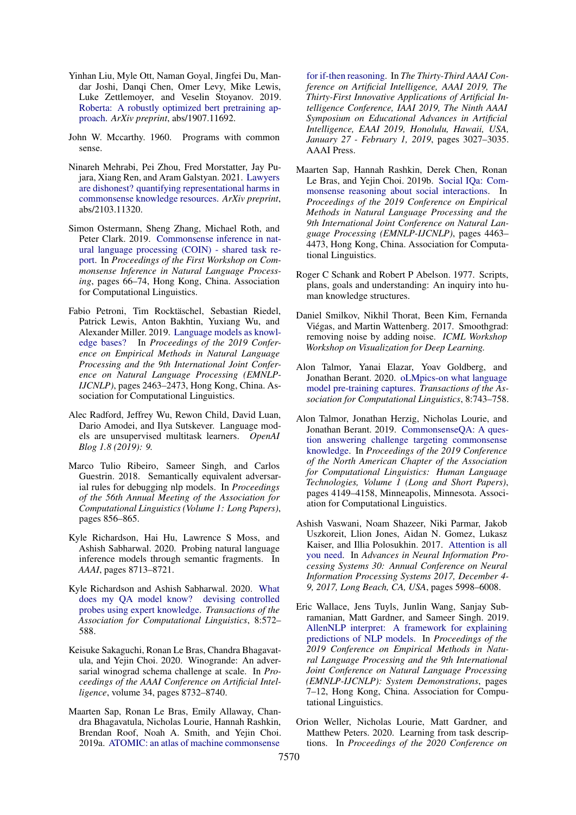- <span id="page-10-2"></span>Yinhan Liu, Myle Ott, Naman Goyal, Jingfei Du, Mandar Joshi, Danqi Chen, Omer Levy, Mike Lewis, Luke Zettlemoyer, and Veselin Stoyanov. 2019. [Roberta: A robustly optimized bert pretraining ap](https://arxiv.org/abs/1907.11692)[proach.](https://arxiv.org/abs/1907.11692) *ArXiv preprint*, abs/1907.11692.
- <span id="page-10-8"></span>John W. Mccarthy. 1960. Programs with common sense.
- <span id="page-10-16"></span>Ninareh Mehrabi, Pei Zhou, Fred Morstatter, Jay Pujara, Xiang Ren, and Aram Galstyan. 2021. [Lawyers](https://arxiv.org/abs/2103.11320) [are dishonest? quantifying representational harms in](https://arxiv.org/abs/2103.11320) [commonsense knowledge resources.](https://arxiv.org/abs/2103.11320) *ArXiv preprint*, abs/2103.11320.
- <span id="page-10-3"></span>Simon Ostermann, Sheng Zhang, Michael Roth, and Peter Clark. 2019. [Commonsense inference in nat](https://doi.org/10.18653/v1/D19-6007)[ural language processing \(COIN\) - shared task re](https://doi.org/10.18653/v1/D19-6007)[port.](https://doi.org/10.18653/v1/D19-6007) In *Proceedings of the First Workshop on Commonsense Inference in Natural Language Processing*, pages 66–74, Hong Kong, China. Association for Computational Linguistics.
- <span id="page-10-0"></span>Fabio Petroni, Tim Rocktäschel, Sebastian Riedel, Patrick Lewis, Anton Bakhtin, Yuxiang Wu, and Alexander Miller. 2019. [Language models as knowl](https://doi.org/10.18653/v1/D19-1250)[edge bases?](https://doi.org/10.18653/v1/D19-1250) In *Proceedings of the 2019 Conference on Empirical Methods in Natural Language Processing and the 9th International Joint Conference on Natural Language Processing (EMNLP-IJCNLP)*, pages 2463–2473, Hong Kong, China. Association for Computational Linguistics.
- <span id="page-10-7"></span>Alec Radford, Jeffrey Wu, Rewon Child, David Luan, Dario Amodei, and Ilya Sutskever. Language models are unsupervised multitask learners. *OpenAI Blog 1.8 (2019): 9.*
- <span id="page-10-14"></span>Marco Tulio Ribeiro, Sameer Singh, and Carlos Guestrin. 2018. Semantically equivalent adversarial rules for debugging nlp models. In *Proceedings of the 56th Annual Meeting of the Association for Computational Linguistics (Volume 1: Long Papers)*, pages 856–865.
- <span id="page-10-12"></span>Kyle Richardson, Hai Hu, Lawrence S Moss, and Ashish Sabharwal. 2020. Probing natural language inference models through semantic fragments. In *AAAI*, pages 8713–8721.
- <span id="page-10-11"></span>Kyle Richardson and Ashish Sabharwal. 2020. [What](https://doi.org/10.1162/tacl_a_00331) [does my QA model know? devising controlled](https://doi.org/10.1162/tacl_a_00331) [probes using expert knowledge.](https://doi.org/10.1162/tacl_a_00331) *Transactions of the Association for Computational Linguistics*, 8:572– 588.
- <span id="page-10-10"></span>Keisuke Sakaguchi, Ronan Le Bras, Chandra Bhagavatula, and Yejin Choi. 2020. Winogrande: An adversarial winograd schema challenge at scale. In *Proceedings of the AAAI Conference on Artificial Intelligence*, volume 34, pages 8732–8740.
- <span id="page-10-6"></span>Maarten Sap, Ronan Le Bras, Emily Allaway, Chandra Bhagavatula, Nicholas Lourie, Hannah Rashkin, Brendan Roof, Noah A. Smith, and Yejin Choi. 2019a. [ATOMIC: an atlas of machine commonsense](https://doi.org/10.1609/aaai.v33i01.33013027)

[for if-then reasoning.](https://doi.org/10.1609/aaai.v33i01.33013027) In *The Thirty-Third AAAI Conference on Artificial Intelligence, AAAI 2019, The Thirty-First Innovative Applications of Artificial Intelligence Conference, IAAI 2019, The Ninth AAAI Symposium on Educational Advances in Artificial Intelligence, EAAI 2019, Honolulu, Hawaii, USA, January 27 - February 1, 2019*, pages 3027–3035. AAAI Press.

- <span id="page-10-9"></span>Maarten Sap, Hannah Rashkin, Derek Chen, Ronan Le Bras, and Yejin Choi. 2019b. [Social IQa: Com](https://doi.org/10.18653/v1/D19-1454)[monsense reasoning about social interactions.](https://doi.org/10.18653/v1/D19-1454) In *Proceedings of the 2019 Conference on Empirical Methods in Natural Language Processing and the 9th International Joint Conference on Natural Language Processing (EMNLP-IJCNLP)*, pages 4463– 4473, Hong Kong, China. Association for Computational Linguistics.
- <span id="page-10-5"></span>Roger C Schank and Robert P Abelson. 1977. Scripts, plans, goals and understanding: An inquiry into human knowledge structures.
- <span id="page-10-17"></span>Daniel Smilkov, Nikhil Thorat, Been Kim, Fernanda Viégas, and Martin Wattenberg. 2017. Smoothgrad: removing noise by adding noise. *ICML Workshop Workshop on Visualization for Deep Learning.*
- <span id="page-10-15"></span>Alon Talmor, Yanai Elazar, Yoav Goldberg, and Jonathan Berant. 2020. [oLMpics-on what language](https://doi.org/10.1162/tacl_a_00342) [model pre-training captures.](https://doi.org/10.1162/tacl_a_00342) *Transactions of the Association for Computational Linguistics*, 8:743–758.
- <span id="page-10-4"></span>Alon Talmor, Jonathan Herzig, Nicholas Lourie, and Jonathan Berant. 2019. [CommonsenseQA: A ques](https://doi.org/10.18653/v1/N19-1421)[tion answering challenge targeting commonsense](https://doi.org/10.18653/v1/N19-1421) [knowledge.](https://doi.org/10.18653/v1/N19-1421) In *Proceedings of the 2019 Conference of the North American Chapter of the Association for Computational Linguistics: Human Language Technologies, Volume 1 (Long and Short Papers)*, pages 4149–4158, Minneapolis, Minnesota. Association for Computational Linguistics.
- <span id="page-10-1"></span>Ashish Vaswani, Noam Shazeer, Niki Parmar, Jakob Uszkoreit, Llion Jones, Aidan N. Gomez, Lukasz Kaiser, and Illia Polosukhin. 2017. [Attention is all](https://proceedings.neurips.cc/paper/2017/hash/3f5ee243547dee91fbd053c1c4a845aa-Abstract.html) [you need.](https://proceedings.neurips.cc/paper/2017/hash/3f5ee243547dee91fbd053c1c4a845aa-Abstract.html) In *Advances in Neural Information Processing Systems 30: Annual Conference on Neural Information Processing Systems 2017, December 4- 9, 2017, Long Beach, CA, USA*, pages 5998–6008.
- <span id="page-10-18"></span>Eric Wallace, Jens Tuyls, Junlin Wang, Sanjay Subramanian, Matt Gardner, and Sameer Singh. 2019. [AllenNLP interpret: A framework for explaining](https://doi.org/10.18653/v1/D19-3002) [predictions of NLP models.](https://doi.org/10.18653/v1/D19-3002) In *Proceedings of the 2019 Conference on Empirical Methods in Natural Language Processing and the 9th International Joint Conference on Natural Language Processing (EMNLP-IJCNLP): System Demonstrations*, pages 7–12, Hong Kong, China. Association for Computational Linguistics.
- <span id="page-10-13"></span>Orion Weller, Nicholas Lourie, Matt Gardner, and Matthew Peters. 2020. Learning from task descriptions. In *Proceedings of the 2020 Conference on*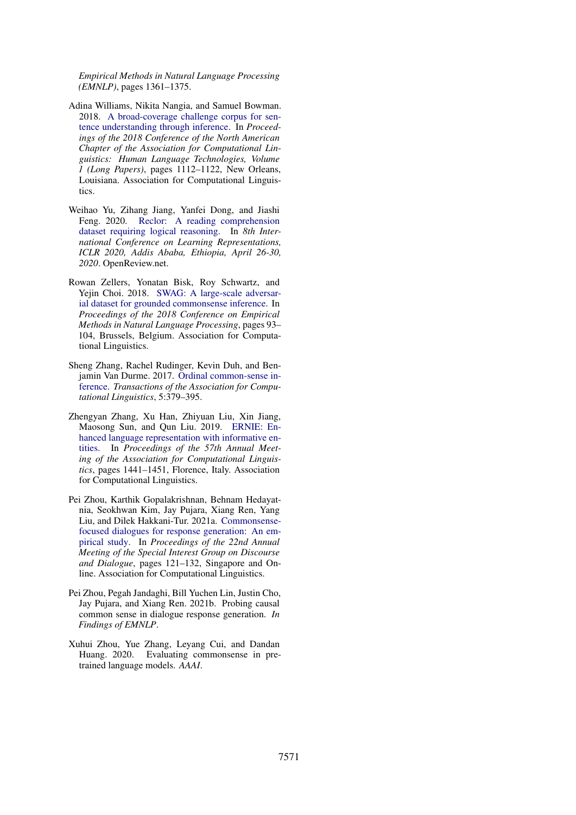*Empirical Methods in Natural Language Processing (EMNLP)*, pages 1361–1375.

- <span id="page-11-0"></span>Adina Williams, Nikita Nangia, and Samuel Bowman. 2018. [A broad-coverage challenge corpus for sen](https://doi.org/10.18653/v1/N18-1101)[tence understanding through inference.](https://doi.org/10.18653/v1/N18-1101) In *Proceedings of the 2018 Conference of the North American Chapter of the Association for Computational Linguistics: Human Language Technologies, Volume 1 (Long Papers)*, pages 1112–1122, New Orleans, Louisiana. Association for Computational Linguistics.
- <span id="page-11-5"></span>Weihao Yu, Zihang Jiang, Yanfei Dong, and Jiashi Feng. 2020. [Reclor: A reading comprehension](https://openreview.net/forum?id=HJgJtT4tvB) [dataset requiring logical reasoning.](https://openreview.net/forum?id=HJgJtT4tvB) In *8th International Conference on Learning Representations, ICLR 2020, Addis Ababa, Ethiopia, April 26-30, 2020*. OpenReview.net.
- <span id="page-11-4"></span>Rowan Zellers, Yonatan Bisk, Roy Schwartz, and Yejin Choi. 2018. [SWAG: A large-scale adversar](https://doi.org/10.18653/v1/D18-1009)[ial dataset for grounded commonsense inference.](https://doi.org/10.18653/v1/D18-1009) In *Proceedings of the 2018 Conference on Empirical Methods in Natural Language Processing*, pages 93– 104, Brussels, Belgium. Association for Computational Linguistics.
- <span id="page-11-1"></span>Sheng Zhang, Rachel Rudinger, Kevin Duh, and Benjamin Van Durme. 2017. [Ordinal common-sense in](https://doi.org/10.1162/tacl_a_00068)[ference.](https://doi.org/10.1162/tacl_a_00068) *Transactions of the Association for Computational Linguistics*, 5:379–395.
- <span id="page-11-3"></span>Zhengyan Zhang, Xu Han, Zhiyuan Liu, Xin Jiang, Maosong Sun, and Qun Liu. 2019. [ERNIE: En](https://doi.org/10.18653/v1/P19-1139)[hanced language representation with informative en](https://doi.org/10.18653/v1/P19-1139)[tities.](https://doi.org/10.18653/v1/P19-1139) In *Proceedings of the 57th Annual Meeting of the Association for Computational Linguistics*, pages 1441–1451, Florence, Italy. Association for Computational Linguistics.
- <span id="page-11-2"></span>Pei Zhou, Karthik Gopalakrishnan, Behnam Hedayatnia, Seokhwan Kim, Jay Pujara, Xiang Ren, Yang Liu, and Dilek Hakkani-Tur. 2021a. [Commonsense](https://aclanthology.org/2021.sigdial-1.13)[focused dialogues for response generation: An em](https://aclanthology.org/2021.sigdial-1.13)[pirical study.](https://aclanthology.org/2021.sigdial-1.13) In *Proceedings of the 22nd Annual Meeting of the Special Interest Group on Discourse and Dialogue*, pages 121–132, Singapore and Online. Association for Computational Linguistics.
- <span id="page-11-7"></span>Pei Zhou, Pegah Jandaghi, Bill Yuchen Lin, Justin Cho, Jay Pujara, and Xiang Ren. 2021b. Probing causal common sense in dialogue response generation. *In Findings of EMNLP*.
- <span id="page-11-6"></span>Xuhui Zhou, Yue Zhang, Leyang Cui, and Dandan Huang. 2020. Evaluating commonsense in pretrained language models. *AAAI*.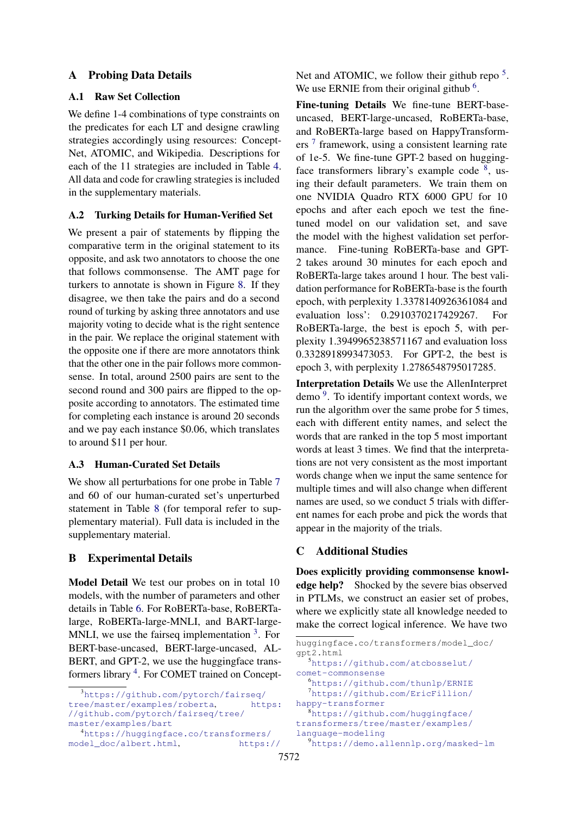## <span id="page-12-0"></span>A Probing Data Details

## A.1 Raw Set Collection

We define 1-4 combinations of type constraints on the predicates for each LT and designe crawling strategies accordingly using resources: Concept-Net, ATOMIC, and Wikipedia. Descriptions for each of the 11 strategies are included in Table [4.](#page-13-0) All data and code for crawling strategies is included in the supplementary materials.

#### A.2 Turking Details for Human-Verified Set

We present a pair of statements by flipping the comparative term in the original statement to its opposite, and ask two annotators to choose the one that follows commonsense. The AMT page for turkers to annotate is shown in Figure [8.](#page-16-0) If they disagree, we then take the pairs and do a second round of turking by asking three annotators and use majority voting to decide what is the right sentence in the pair. We replace the original statement with the opposite one if there are more annotators think that the other one in the pair follows more commonsense. In total, around 2500 pairs are sent to the second round and 300 pairs are flipped to the opposite according to annotators. The estimated time for completing each instance is around 20 seconds and we pay each instance \$0.06, which translates to around \$11 per hour.

## A.3 Human-Curated Set Details

We show all perturbations for one probe in Table [7](#page-15-0) and 60 of our human-curated set's unperturbed statement in Table [8](#page-17-0) (for temporal refer to supplementary material). Full data is included in the supplementary material.

## B Experimental Details

Model Detail We test our probes on in total 10 models, with the number of parameters and other details in Table [6.](#page-13-1) For RoBERTa-base, RoBERTalarge, RoBERTa-large-MNLI, and BART-large-MNLI, we use the fairseq implementation  $3$ . For BERT-base-uncased, BERT-large-uncased, AL-BERT, and GPT-2, we use the huggingface trans-formers library <sup>[4](#page-12-2)</sup>. For COMET trained on Concept-

[Net and ATOMIC, we follow their github repo](https://huggingface.co/transformers/model_doc/gpt2.html)<sup>[5](#page-12-3)</sup>. [We use ERNIE from their original github](https://huggingface.co/transformers/model_doc/gpt2.html)  $6$ .

Fine-tuning Details [We fine-tune BERT-base](https://huggingface.co/transformers/model_doc/gpt2.html)[uncased, BERT-large-uncased, RoBERTa-base,](https://huggingface.co/transformers/model_doc/gpt2.html) [and RoBERTa-large based on HappyTransform-](https://huggingface.co/transformers/model_doc/gpt2.html)ers<sup>[7](#page-12-5)</sup> [framework, using a consistent learning rate](https://huggingface.co/transformers/model_doc/gpt2.html) [of 1e-5. We fine-tune GPT-2 based on hugging](https://huggingface.co/transformers/model_doc/gpt2.html)[face transformers library's example code](https://huggingface.co/transformers/model_doc/gpt2.html)  $8$ , us[ing their default parameters. We train them on](https://huggingface.co/transformers/model_doc/gpt2.html) [one NVIDIA Quadro RTX 6000 GPU for 10](https://huggingface.co/transformers/model_doc/gpt2.html) [epochs and after each epoch we test the fine](https://huggingface.co/transformers/model_doc/gpt2.html)[tuned model on our validation set, and save](https://huggingface.co/transformers/model_doc/gpt2.html) [the model with the highest validation set perfor](https://huggingface.co/transformers/model_doc/gpt2.html)[mance. Fine-tuning RoBERTa-base and GPT-](https://huggingface.co/transformers/model_doc/gpt2.html)[2 takes around 30 minutes for each epoch and](https://huggingface.co/transformers/model_doc/gpt2.html) [RoBERTa-large takes around 1 hour. The best vali](https://huggingface.co/transformers/model_doc/gpt2.html)[dation performance for RoBERTa-base is the fourth](https://huggingface.co/transformers/model_doc/gpt2.html) [epoch, with perplexity 1.3378140926361084 and](https://huggingface.co/transformers/model_doc/gpt2.html) [evaluation loss': 0.2910370217429267. For](https://huggingface.co/transformers/model_doc/gpt2.html) [RoBERTa-large, the best is epoch 5, with per](https://huggingface.co/transformers/model_doc/gpt2.html)[plexity 1.3949965238571167 and evaluation loss](https://huggingface.co/transformers/model_doc/gpt2.html) [0.3328918993473053. For GPT-2, the best is](https://huggingface.co/transformers/model_doc/gpt2.html) [epoch 3, with perplexity 1.2786548795017285.](https://huggingface.co/transformers/model_doc/gpt2.html)

Interpretation Details [We use the AllenInterpret](https://huggingface.co/transformers/model_doc/gpt2.html) demo<sup>[9](#page-12-7)</sup>[. To identify important context words, we](https://huggingface.co/transformers/model_doc/gpt2.html) [run the algorithm over the same probe for 5 times,](https://huggingface.co/transformers/model_doc/gpt2.html) [each with different entity names, and select the](https://huggingface.co/transformers/model_doc/gpt2.html) [words that are ranked in the top 5 most important](https://huggingface.co/transformers/model_doc/gpt2.html) [words at least 3 times. We find that the interpreta](https://huggingface.co/transformers/model_doc/gpt2.html)[tions are not very consistent as the most important](https://huggingface.co/transformers/model_doc/gpt2.html) [words change when we input the same sentence for](https://huggingface.co/transformers/model_doc/gpt2.html) [multiple times and will also change when different](https://huggingface.co/transformers/model_doc/gpt2.html) [names are used, so we conduct 5 trials with differ](https://huggingface.co/transformers/model_doc/gpt2.html)[ent names for each probe and pick the words that](https://huggingface.co/transformers/model_doc/gpt2.html) [appear in the majority of the trials.](https://huggingface.co/transformers/model_doc/gpt2.html)

## [C Additional Studies](https://huggingface.co/transformers/model_doc/gpt2.html)

[Does explicitly providing commonsense knowl](https://huggingface.co/transformers/model_doc/gpt2.html)edge help? [Shocked by the severe bias observed](https://huggingface.co/transformers/model_doc/gpt2.html) [in PTLMs, we construct an easier set of probes,](https://huggingface.co/transformers/model_doc/gpt2.html) [where we explicitly state all knowledge needed to](https://huggingface.co/transformers/model_doc/gpt2.html) [make the correct logical inference. We have two](https://huggingface.co/transformers/model_doc/gpt2.html)

<span id="page-12-1"></span><sup>3</sup>[https://github.com/pytorch/fairseq/](https://github.com/pytorch/fairseq/tree/master/examples/roberta) [tree/master/examples/roberta](https://github.com/pytorch/fairseq/tree/master/examples/roberta), [https:](https://github.com/pytorch/fairseq/tree/master/examples/bart) [//github.com/pytorch/fairseq/tree/](https://github.com/pytorch/fairseq/tree/master/examples/bart) [master/examples/bart](https://github.com/pytorch/fairseq/tree/master/examples/bart)

<span id="page-12-2"></span><sup>4</sup>[https://huggingface.co/transformers/](https://huggingface.co/transformers/model_doc/albert.html) [model\\_doc/albert.html](https://huggingface.co/transformers/model_doc/albert.html), [https://](https://huggingface.co/transformers/model_doc/gpt2.html)

<span id="page-12-7"></span><span id="page-12-6"></span><span id="page-12-5"></span><span id="page-12-4"></span><span id="page-12-3"></span>[huggingface.co/transformers/model\\_doc/](https://huggingface.co/transformers/model_doc/gpt2.html) [gpt2.html](https://huggingface.co/transformers/model_doc/gpt2.html) <sup>5</sup>[https://github.com/atcbosselut/](https://github.com/atcbosselut/comet-commonsense) [comet-commonsense](https://github.com/atcbosselut/comet-commonsense) <sup>6</sup><https://github.com/thunlp/ERNIE> <sup>7</sup>[https://github.com/EricFillion/](https://github.com/EricFillion/happy-transformer) [happy-transformer](https://github.com/EricFillion/happy-transformer) <sup>8</sup>[https://github.com/huggingface/](https://github.com/huggingface/transformers/tree/master/examples/language-modeling) [transformers/tree/master/examples/](https://github.com/huggingface/transformers/tree/master/examples/language-modeling) [language-modeling](https://github.com/huggingface/transformers/tree/master/examples/language-modeling) <sup>9</sup><https://demo.allennlp.org/masked-lm>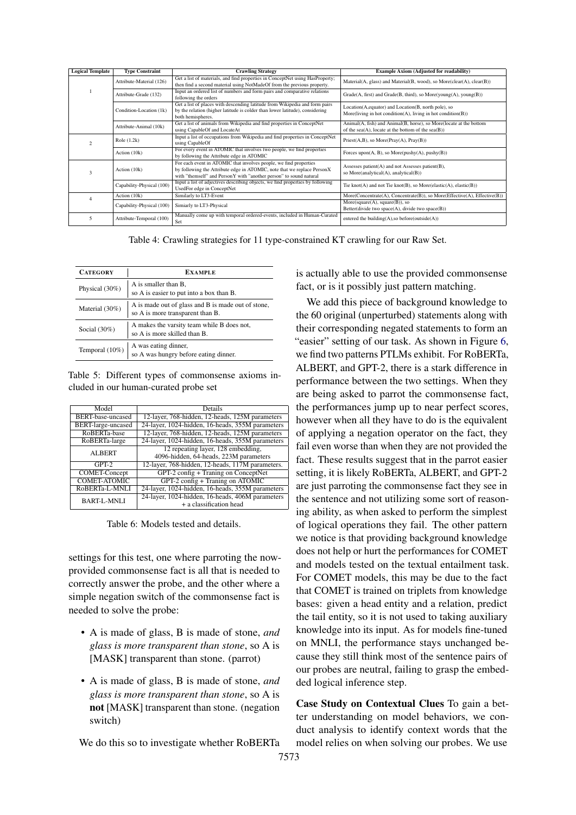<span id="page-13-0"></span>

| <b>Logical Template</b> | <b>Type Constraint</b>    | <b>Crawling Strategy</b>                                                       | <b>Example Axiom (Adjusted for readability)</b>                            |  |
|-------------------------|---------------------------|--------------------------------------------------------------------------------|----------------------------------------------------------------------------|--|
|                         | Attribute-Material (126)  | Get a list of materials, and find properties in ConceptNet using HasProperty;  | Material(A, glass) and Material(B, wood), so More(clear(A), clear(B))      |  |
|                         |                           | then find a second material using NotMadeOf from the previous property.        |                                                                            |  |
|                         | Attribute-Grade (132)     | Input an ordered list of numbers and form pairs and comparative relations      | Grade(A, first) and Grade(B, third), so More(young(A), young(B))           |  |
|                         |                           | following the orders                                                           |                                                                            |  |
|                         |                           | Get a list of places with descending latitude from Wikipedia and form pairs    | Location(A, equator) and Location(B, north pole), so                       |  |
|                         | Condition-Location (1k)   | by the relation (higher latitude is colder than lower latitude), considering   |                                                                            |  |
|                         |                           | both hemispheres.                                                              | More(living in hot condition(A), living in hot condition(B))               |  |
|                         | Attribute-Animal (10k)    | Get a list of animals from Wikipedia and find properties in ConceptNet         | Animal(A, fish) and Animal(B, horse), so More(locate at the bottom         |  |
|                         |                           | using CapableOf and LocateAt                                                   | of the sea $(A)$ , locate at the bottom of the sea $(B)$ )                 |  |
|                         | Role $(1.2k)$             | Input a list of occupations from Wikipedia and find properties in ConceptNet   | $Priest(A,B)$ , so More( $Pray(A)$ , $Pray(B)$ )                           |  |
|                         |                           | using CapableOf                                                                |                                                                            |  |
|                         | Action (10k)              | For every event in ATOMIC that involves two people, we find properties         | Forces upon $(A, B)$ , so More(pushy $(A)$ , pushy $(B)$ )                 |  |
|                         |                           | by following the Attribute edge in ATOMIC                                      |                                                                            |  |
|                         |                           | For each event in ATOMIC that involves people, we find properties              | Assesses patient $(A)$ and not Assesses patient $(B)$ ,                    |  |
|                         | Action (10k)              | by following the Attribute edge in ATOMIC, note that we replace PersonX        |                                                                            |  |
|                         |                           | with "themself" and PersonY with "another person" to sound natural             | so More(analytical(A), analytical(B))                                      |  |
|                         | Capability-Physical (100) | Input a list of adjectives describing objects, we find properties by following | Tie knot $(A)$ and not Tie knot $(B)$ , so More $(elastic(A), elastic(B))$ |  |
|                         |                           | UsedFor edge in ConceptNet                                                     |                                                                            |  |
|                         | Action (10k)              | Similarly to LT3-Event                                                         | More(Concentrate(A), Concentrate(B)), so More(Effective(A), Effective(B))  |  |
|                         | Capability-Physical (100) | Simiarly to LT3-Physical                                                       | More(square(A), square(B)), so                                             |  |
|                         |                           |                                                                                | Better(divide two space(A), divide two space(B))                           |  |
|                         | Attribute-Temporal (100)  | Manually come up with temporal ordered-events, included in Human-Curated       | entered the building $(A)$ , so before(outside $(A)$ )                     |  |
|                         |                           | Set                                                                            |                                                                            |  |

Table 4: Crawling strategies for 11 type-constrained KT crawling for our Raw Set.

| <b>CATEGORY</b> | <b>EXAMPLE</b>                                                                         |
|-----------------|----------------------------------------------------------------------------------------|
| Physical (30%)  | A is smaller than B,<br>so A is easier to put into a box than B.                       |
| Material (30%)  | A is made out of glass and B is made out of stone,<br>so A is more transparent than B. |
| Social $(30\%)$ | A makes the varsity team while B does not,<br>so A is more skilled than B.             |
| Temporal (10%)  | A was eating dinner,<br>so A was hungry before eating dinner.                          |

Table 5: Different types of commonsense axioms included in our human-curated probe set

<span id="page-13-1"></span>

| Model                     | Details                                          |
|---------------------------|--------------------------------------------------|
| BERT-base-uncased         | 12-layer, 768-hidden, 12-heads, 125M parameters  |
| <b>BERT-large-uncased</b> | 24-layer, 1024-hidden, 16-heads, 355M parameters |
| RoBERTa-base              | 12-layer, 768-hidden, 12-heads, 125M parameters  |
| RoBERTa-large             | 24-layer, 1024-hidden, 16-heads, 355M parameters |
| <b>ALBERT</b>             | 12 repeating layer, 128 embedding,               |
|                           | 4096-hidden, 64-heads, 223M parameters           |
| $GPT-2$                   | 12-layer, 768-hidden, 12-heads, 117M parameters. |
| <b>COMET-Concept</b>      | $GPT-2$ config + Traning on ConceptNet           |
| <b>COMET-ATOMIC</b>       | $GPT-2$ config + Traning on ATOMIC               |
| RoBERTa-L-MNLI            | 24-layer, 1024-hidden, 16-heads, 355M parameters |
| <b>BART-L-MNLI</b>        | 24-layer, 1024-hidden, 16-heads, 406M parameters |
|                           | + a classification head                          |

Table 6: Models tested and details.

settings for this test, one where parroting the nowprovided commonsense fact is all that is needed to correctly answer the probe, and the other where a simple negation switch of the commonsense fact is needed to solve the probe:

- A is made of glass, B is made of stone, *and glass is more transparent than stone*, so A is [MASK] transparent than stone. (parrot)
- A is made of glass, B is made of stone, *and glass is more transparent than stone*, so A is not [MASK] transparent than stone. (negation switch)

We do this so to investigate whether RoBERTa

is actually able to use the provided commonsense fact, or is it possibly just pattern matching.

We add this piece of background knowledge to the 60 original (unperturbed) statements along with their corresponding negated statements to form an "easier" setting of our task. As shown in Figure [6,](#page-14-0) we find two patterns PTLMs exhibit. For RoBERTa, ALBERT, and GPT-2, there is a stark difference in performance between the two settings. When they are being asked to parrot the commonsense fact, the performances jump up to near perfect scores, however when all they have to do is the equivalent of applying a negation operator on the fact, they fail even worse than when they are not provided the fact. These results suggest that in the parrot easier setting, it is likely RoBERTa, ALBERT, and GPT-2 are just parroting the commonsense fact they see in the sentence and not utilizing some sort of reasoning ability, as when asked to perform the simplest of logical operations they fail. The other pattern we notice is that providing background knowledge does not help or hurt the performances for COMET and models tested on the textual entailment task. For COMET models, this may be due to the fact that COMET is trained on triplets from knowledge bases: given a head entity and a relation, predict the tail entity, so it is not used to taking auxiliary knowledge into its input. As for models fine-tuned on MNLI, the performance stays unchanged because they still think most of the sentence pairs of our probes are neutral, failing to grasp the embedded logical inference step.

Case Study on Contextual Clues To gain a better understanding on model behaviors, we conduct analysis to identify context words that the model relies on when solving our probes. We use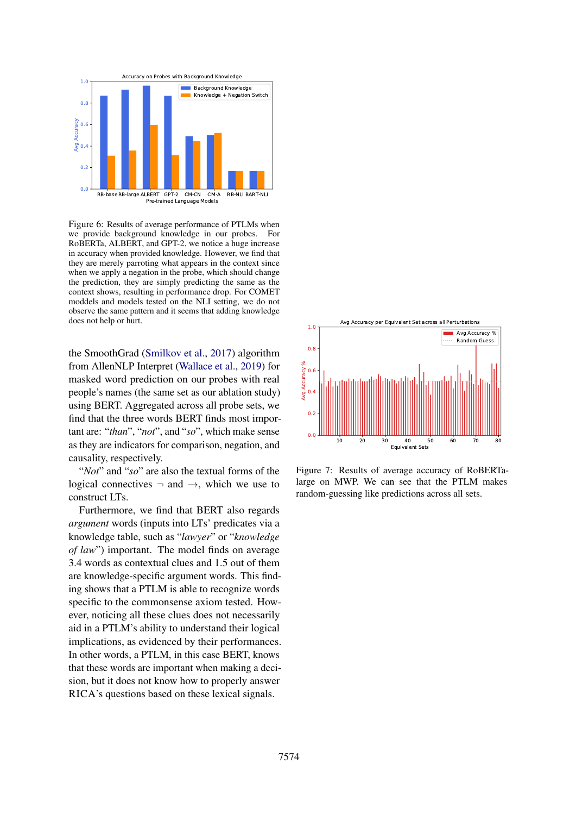<span id="page-14-0"></span>

Figure 6: Results of average performance of PTLMs when we provide background knowledge in our probes. For RoBERTa, ALBERT, and GPT-2, we notice a huge increase in accuracy when provided knowledge. However, we find that they are merely parroting what appears in the context since when we apply a negation in the probe, which should change the prediction, they are simply predicting the same as the context shows, resulting in performance drop. For COMET moddels and models tested on the NLI setting, we do not observe the same pattern and it seems that adding knowledge does not help or hurt.

the SmoothGrad [\(Smilkov et al.,](#page-10-17) [2017\)](#page-10-17) algorithm from AllenNLP Interpret [\(Wallace et al.,](#page-10-18) [2019\)](#page-10-18) for masked word prediction on our probes with real people's names (the same set as our ablation study) using BERT. Aggregated across all probe sets, we find that the three words BERT finds most important are: "*than*", "*not*", and "*so*", which make sense as they are indicators for comparison, negation, and causality, respectively.

"*Not*" and "*so*" are also the textual forms of the logical connectives  $\neg$  and  $\neg$ , which we use to construct LTs.

Furthermore, we find that BERT also regards *argument* words (inputs into LTs' predicates via a knowledge table, such as "*lawyer*" or "*knowledge of law*") important. The model finds on average 3.4 words as contextual clues and 1.5 out of them are knowledge-specific argument words. This finding shows that a PTLM is able to recognize words specific to the commonsense axiom tested. However, noticing all these clues does not necessarily aid in a PTLM's ability to understand their logical implications, as evidenced by their performances. In other words, a PTLM, in this case BERT, knows that these words are important when making a decision, but it does not know how to properly answer RICA's questions based on these lexical signals.



Figure 7: Results of average accuracy of RoBERTalarge on MWP. We can see that the PTLM makes random-guessing like predictions across all sets.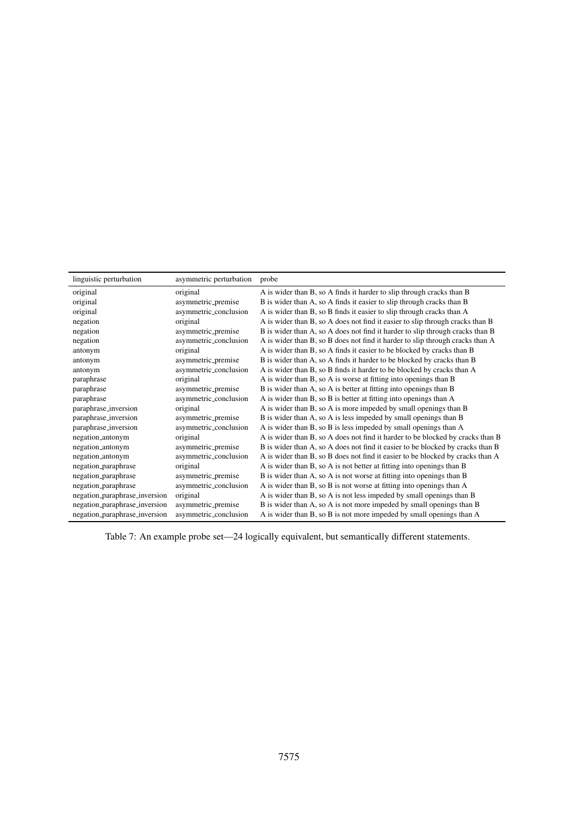<span id="page-15-0"></span>

| linguistic perturbation       | asymmetric perturbation | probe                                                                          |
|-------------------------------|-------------------------|--------------------------------------------------------------------------------|
| original                      | original                | A is wider than B, so A finds it harder to slip through cracks than B          |
| original                      | asymmetric_premise      | B is wider than A, so A finds it easier to slip through cracks than B          |
| original                      | asymmetric_conclusion   | A is wider than B, so B finds it easier to slip through cracks than A          |
| negation                      | original                | A is wider than B, so A does not find it easier to slip through cracks than B  |
| negation                      | asymmetric_premise      | B is wider than A, so A does not find it harder to slip through cracks than B  |
| negation                      | asymmetric_conclusion   | A is wider than B, so B does not find it harder to slip through cracks than A  |
| antonym                       | original                | A is wider than B, so A finds it easier to be blocked by cracks than B         |
| antonym                       | asymmetric_premise      | B is wider than A, so A finds it harder to be blocked by cracks than B         |
| antonym                       | asymmetric_conclusion   | A is wider than B, so B finds it harder to be blocked by cracks than A         |
| paraphrase                    | original                | A is wider than B, so A is worse at fitting into openings than B               |
| paraphrase                    | asymmetric_premise      | B is wider than A, so A is better at fitting into openings than B              |
| paraphrase                    | asymmetric_conclusion   | A is wider than B, so B is better at fitting into openings than A              |
| paraphrase_inversion          | original                | A is wider than B, so A is more impeded by small openings than B               |
| paraphrase_inversion          | asymmetric_premise      | B is wider than A, so A is less impeded by small openings than B               |
| paraphrase_inversion          | asymmetric_conclusion   | A is wider than B, so B is less impeded by small openings than A               |
| negation_antonym              | original                | A is wider than B, so A does not find it harder to be blocked by cracks than B |
| negation_antonym              | asymmetric_premise      | B is wider than A, so A does not find it easier to be blocked by cracks than B |
| negation_antonym              | asymmetric_conclusion   | A is wider than B, so B does not find it easier to be blocked by cracks than A |
| negation_paraphrase           | original                | A is wider than B, so A is not better at fitting into openings than B          |
| negation_paraphrase           | asymmetric_premise      | B is wider than A, so A is not worse at fitting into openings than B           |
| negation_paraphrase           | asymmetric_conclusion   | A is wider than B, so B is not worse at fitting into openings than A           |
| negation_paraphrase_inversion | original                | A is wider than B, so A is not less impeded by small openings than B           |
| negation_paraphrase_inversion | asymmetric_premise      | B is wider than A, so A is not more impeded by small openings than B           |
| negation_paraphrase_inversion | asymmetric_conclusion   | A is wider than B, so B is not more impeded by small openings than A           |

Table 7: An example probe set—24 logically equivalent, but semantically different statements.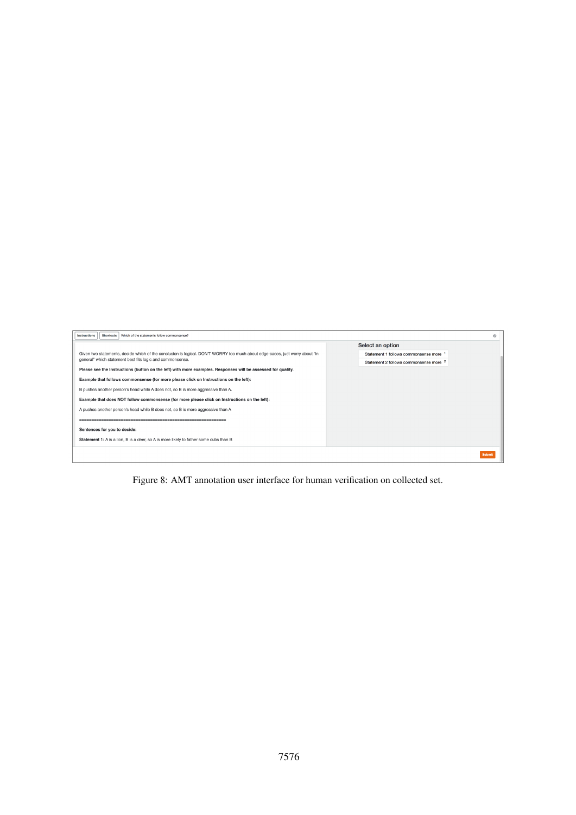<span id="page-16-0"></span>

| Instructions<br>Shortcuts   Which of the statements follow commonsense?                                                      |                                                   | ۵      |
|------------------------------------------------------------------------------------------------------------------------------|---------------------------------------------------|--------|
|                                                                                                                              | Select an option                                  |        |
| Given two statements, decide which of the conclusion is logical. DON'T WORRY too much about edge-cases, just worry about "in | Statement 1 follows commonsense more              |        |
| general" which statement best fits logic and commonsense.                                                                    | Statement 2 follows commonsense more <sup>2</sup> |        |
| Please see the Instructions (button on the left) with more examples. Responses will be assessed for quality.                 |                                                   |        |
| Example that follows commonsense (for more please click on Instructions on the left):                                        |                                                   |        |
| B pushes another person's head while A does not, so B is more aggressive than A.                                             |                                                   |        |
| Example that does NOT follow commonsense (for more please click on Instructions on the left):                                |                                                   |        |
| A pushes another person's head while B does not, so B is more aggressive than A                                              |                                                   |        |
|                                                                                                                              |                                                   |        |
| Sentences for you to decide:                                                                                                 |                                                   |        |
| Statement 1: A is a lion, B is a deer, so A is more likely to father some cubs than B                                        |                                                   |        |
|                                                                                                                              |                                                   | Submit |

Figure 8: AMT annotation user interface for human verification on collected set.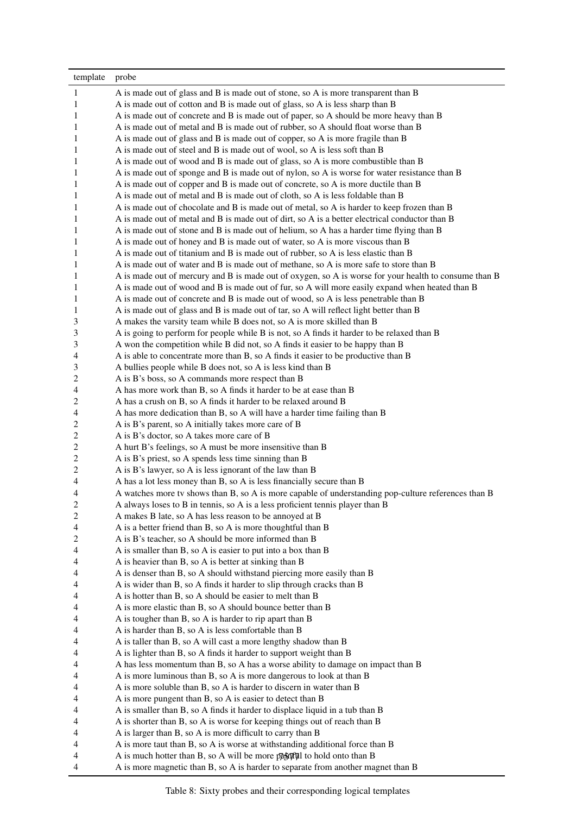<span id="page-17-0"></span>

| template | probe                                                                                                   |
|----------|---------------------------------------------------------------------------------------------------------|
| 1        | A is made out of glass and B is made out of stone, so A is more transparent than B                      |
| 1        | A is made out of cotton and B is made out of glass, so A is less sharp than B                           |
| 1        | A is made out of concrete and B is made out of paper, so A should be more heavy than B                  |
| 1        | A is made out of metal and B is made out of rubber, so A should float worse than B                      |
| 1        | A is made out of glass and B is made out of copper, so A is more fragile than B                         |
| 1        | A is made out of steel and B is made out of wool, so A is less soft than B                              |
|          |                                                                                                         |
| 1        | A is made out of wood and B is made out of glass, so A is more combustible than B                       |
| 1        | A is made out of sponge and B is made out of nylon, so A is worse for water resistance than B           |
| 1        | A is made out of copper and B is made out of concrete, so A is more ductile than B                      |
| 1        | A is made out of metal and B is made out of cloth, so A is less foldable than B                         |
| 1        | A is made out of chocolate and B is made out of metal, so A is harder to keep frozen than B             |
| 1        | A is made out of metal and B is made out of dirt, so A is a better electrical conductor than B          |
| 1        | A is made out of stone and B is made out of helium, so A has a harder time flying than B                |
| 1        | A is made out of honey and B is made out of water, so A is more viscous than B                          |
| 1        | A is made out of titanium and B is made out of rubber, so A is less elastic than B                      |
| 1        | A is made out of water and B is made out of methane, so A is more safe to store than B                  |
| 1        | A is made out of mercury and B is made out of oxygen, so A is worse for your health to consume than B   |
| 1        | A is made out of wood and B is made out of fur, so A will more easily expand when heated than B         |
| 1        | A is made out of concrete and B is made out of wood, so A is less penetrable than B                     |
| 1        | A is made out of glass and B is made out of tar, so A will reflect light better than B                  |
| 3        | A makes the varsity team while B does not, so A is more skilled than B                                  |
| 3        | A is going to perform for people while B is not, so A finds it harder to be relaxed than B              |
| 3        | A won the competition while B did not, so A finds it easier to be happy than B                          |
| 4        | A is able to concentrate more than B, so A finds it easier to be productive than B                      |
| 3        | A bullies people while B does not, so A is less kind than B                                             |
| 2        | A is B's boss, so A commands more respect than B                                                        |
| 4        | A has more work than B, so A finds it harder to be at ease than B                                       |
| 2        | A has a crush on B, so A finds it harder to be relaxed around B                                         |
| 4        | A has more dedication than B, so A will have a harder time failing than B                               |
| 2        | A is B's parent, so A initially takes more care of B                                                    |
| 2        | A is B's doctor, so A takes more care of B                                                              |
| 2        | A hurt B's feelings, so A must be more insensitive than B                                               |
| 2        | A is B's priest, so A spends less time sinning than B                                                   |
| 2        | A is B's lawyer, so A is less ignorant of the law than B                                                |
| 4        | A has a lot less money than B, so A is less financially secure than B                                   |
| 4        | A watches more tv shows than B, so A is more capable of understanding pop-culture references than B     |
| 2        | A always loses to B in tennis, so A is a less proficient tennis player than B                           |
| 2        | A makes B late, so A has less reason to be annoyed at B                                                 |
| 4        | A is a better friend than B, so A is more thoughtful than B                                             |
| 2        | A is B's teacher, so A should be more informed than B                                                   |
| 4        | A is smaller than B, so A is easier to put into a box than B                                            |
| 4        | A is heavier than B, so A is better at sinking than B                                                   |
| 4        | A is denser than B, so A should withstand piercing more easily than B                                   |
| 4        | A is wider than B, so A finds it harder to slip through cracks than B                                   |
| 4        | A is hotter than B, so A should be easier to melt than B                                                |
| 4        | A is more elastic than B, so A should bounce better than B                                              |
| 4        | A is tougher than B, so A is harder to rip apart than B                                                 |
| 4        | A is harder than B, so A is less comfortable than B                                                     |
| 4        | A is taller than B, so A will cast a more lengthy shadow than B                                         |
| 4        | A is lighter than B, so A finds it harder to support weight than B                                      |
| 4        | A has less momentum than B, so A has a worse ability to damage on impact than B                         |
| 4        | A is more luminous than B, so A is more dangerous to look at than B                                     |
| 4        | A is more soluble than B, so A is harder to discern in water than B                                     |
| 4        | A is more pungent than B, so A is easier to detect than B                                               |
| 4        | A is smaller than B, so A finds it harder to displace liquid in a tub than B                            |
| 4        | A is shorter than B, so A is worse for keeping things out of reach than B                               |
| 4        | A is larger than B, so A is more difficult to carry than B                                              |
| 4        | A is more taut than B, so A is worse at withstanding additional force than B                            |
| 4        | A is much hotter than B, so A will be more $\frac{1}{2}$ and the past $\frac{1}{2}$ to hold onto than B |
| 4        | A is more magnetic than B, so A is harder to separate from another magnet than B                        |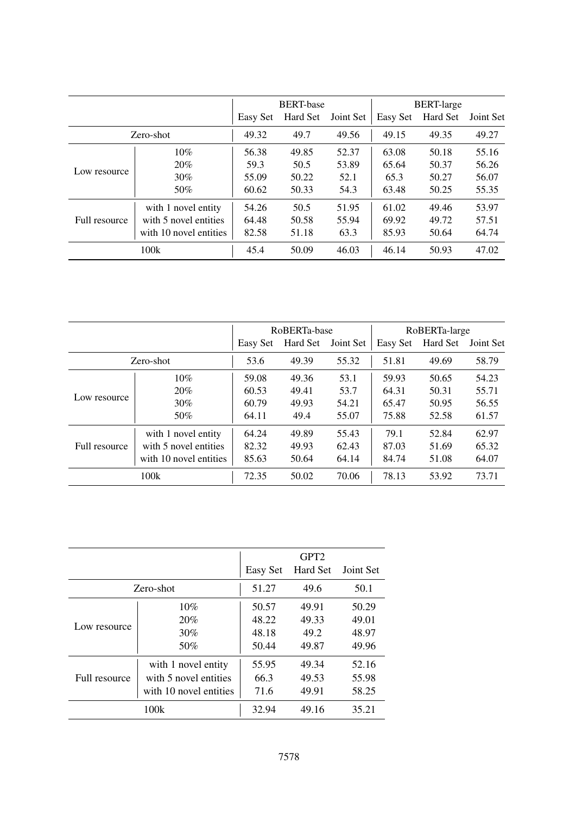|               |                        | <b>BERT-base</b> |          |           | <b>BERT-large</b> |          |           |
|---------------|------------------------|------------------|----------|-----------|-------------------|----------|-----------|
|               |                        | Easy Set         | Hard Set | Joint Set | Easy Set          | Hard Set | Joint Set |
| Zero-shot     |                        | 49.32            | 49.7     | 49.56     | 49.15             | 49.35    | 49.27     |
|               | 10%                    | 56.38            | 49.85    | 52.37     | 63.08             | 50.18    | 55.16     |
|               | 20%                    | 59.3             | 50.5     | 53.89     | 65.64             | 50.37    | 56.26     |
| Low resource  | 30%                    | 55.09            | 50.22    | 52.1      | 65.3              | 50.27    | 56.07     |
|               | 50%                    | 60.62            | 50.33    | 54.3      | 63.48             | 50.25    | 55.35     |
| Full resource | with 1 novel entity    | 54.26            | 50.5     | 51.95     | 61.02             | 49.46    | 53.97     |
|               | with 5 novel entities  | 64.48            | 50.58    | 55.94     | 69.92             | 49.72    | 57.51     |
|               | with 10 novel entities | 82.58            | 51.18    | 63.3      | 85.93             | 50.64    | 64.74     |
| 100k          |                        | 45.4             | 50.09    | 46.03     | 46.14             | 50.93    | 47.02     |

|               |                        | RoBERTa-base |          |           | RoBERTa-large |          |           |
|---------------|------------------------|--------------|----------|-----------|---------------|----------|-----------|
|               |                        | Easy Set     | Hard Set | Joint Set | Easy Set      | Hard Set | Joint Set |
| Zero-shot     |                        | 53.6         | 49.39    | 55.32     | 51.81         | 49.69    | 58.79     |
| Low resource  | 10%                    | 59.08        | 49.36    | 53.1      | 59.93         | 50.65    | 54.23     |
|               | 20%                    | 60.53        | 49.41    | 53.7      | 64.31         | 50.31    | 55.71     |
|               | 30%                    | 60.79        | 49.93    | 54.21     | 65.47         | 50.95    | 56.55     |
|               | 50%                    | 64.11        | 49.4     | 55.07     | 75.88         | 52.58    | 61.57     |
| Full resource | with 1 novel entity    | 64.24        | 49.89    | 55.43     | 79.1          | 52.84    | 62.97     |
|               | with 5 novel entities  | 82.32        | 49.93    | 62.43     | 87.03         | 51.69    | 65.32     |
|               | with 10 novel entities | 85.63        | 50.64    | 64.14     | 84.74         | 51.08    | 64.07     |
| 100k          |                        | 72.35        | 50.02    | 70.06     | 78.13         | 53.92    | 73.71     |

|               |                        |          | GPT <sub>2</sub> |       |
|---------------|------------------------|----------|------------------|-------|
|               | Easy Set               | Hard Set | Joint Set        |       |
| Zero-shot     |                        | 51.27    | 49.6             | 50.1  |
|               | 10%                    | 50.57    | 49.91            | 50.29 |
|               | 20%                    | 48.22    | 49.33            | 49.01 |
| Low resource  | 30%                    | 48.18    | 49.2             | 48.97 |
|               | 50%                    | 50.44    | 49.87            | 49.96 |
| Full resource | with 1 novel entity    | 55.95    | 49.34            | 52.16 |
|               | with 5 novel entities  | 66.3     | 49.53            | 55.98 |
|               | with 10 novel entities | 71.6     | 49.91            | 58.25 |
|               | 100k                   | 32.94    | 49.16            | 35.21 |